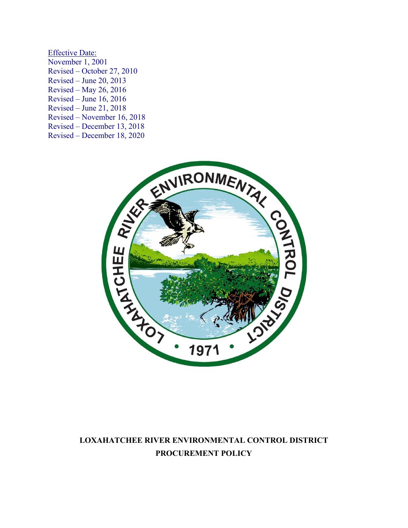Effective Date: November 1, 2001 Revised – October 27, 2010 Revised – June 20, 2013 Revised – May 26, 2016 Revised – June 16, 2016 Revised – June 21, 2018 Revised – December 13, 2018 Revised – December 18, 2020



# **LOXAHATCHEE RIVER ENVIRONMENTAL CONTROL DISTRICT PROCUREMENT POLICY**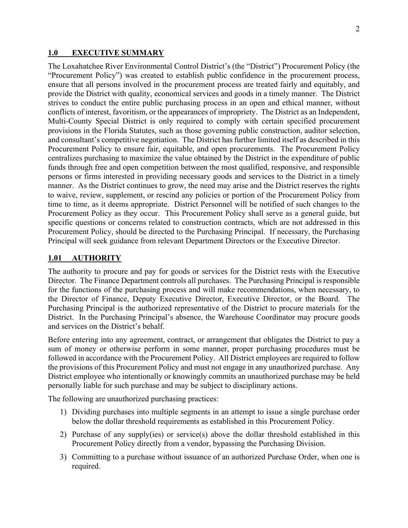#### **1.0 EXECUTIVE SUMMARY**

The Loxahatchee River Environmental Control District's (the "District") Procurement Policy (the "Procurement Policy") was created to establish public confidence in the procurement process, ensure that all persons involved in the procurement process are treated fairly and equitably, and provide the District with quality, economical services and goods in a timely manner. The District strives to conduct the entire public purchasing process in an open and ethical manner, without conflicts of interest, favoritism, or the appearances of impropriety. The District as an Independent, Multi-County Special District is only required to comply with certain specified procurement provisions in the Florida Statutes, such as those governing public construction, auditor selection, and consultant's competitive negotiation. The District has further limited itself as described in this Procurement Policy to ensure fair, equitable, and open procurements. The Procurement Policy centralizes purchasing to maximize the value obtained by the District in the expenditure of public funds through free and open competition between the most qualified, responsive, and responsible persons or firms interested in providing necessary goods and services to the District in a timely manner. As the District continues to grow, the need may arise and the District reserves the rights to waive, review, supplement, or rescind any policies or portion of the Procurement Policy from time to time, as it deems appropriate. District Personnel will be notified of such changes to the Procurement Policy as they occur. This Procurement Policy shall serve as a general guide, but specific questions or concerns related to construction contracts, which are not addressed in this Procurement Policy, should be directed to the Purchasing Principal. If necessary, the Purchasing Principal will seek guidance from relevant Department Directors or the Executive Director.

#### **1.01 AUTHORITY**

The authority to procure and pay for goods or services for the District rests with the Executive Director. The Finance Department controls all purchases. The Purchasing Principal is responsible for the functions of the purchasing process and will make recommendations, when necessary, to the Director of Finance, Deputy Executive Director, Executive Director, or the Board. The Purchasing Principal is the authorized representative of the District to procure materials for the District. In the Purchasing Principal's absence, the Warehouse Coordinator may procure goods and services on the District's behalf.

Before entering into any agreement, contract, or arrangement that obligates the District to pay a sum of money or otherwise perform in some manner, proper purchasing procedures must be followed in accordance with the Procurement Policy. All District employees are required to follow the provisions of this Procurement Policy and must not engage in any unauthorized purchase. Any District employee who intentionally or knowingly commits an unauthorized purchase may be held personally liable for such purchase and may be subject to disciplinary actions.

The following are unauthorized purchasing practices:

- 1) Dividing purchases into multiple segments in an attempt to issue a single purchase order below the dollar threshold requirements as established in this Procurement Policy.
- 2) Purchase of any supply(ies) or service(s) above the dollar threshold established in this Procurement Policy directly from a vendor, bypassing the Purchasing Division.
- 3) Committing to a purchase without issuance of an authorized Purchase Order, when one is required.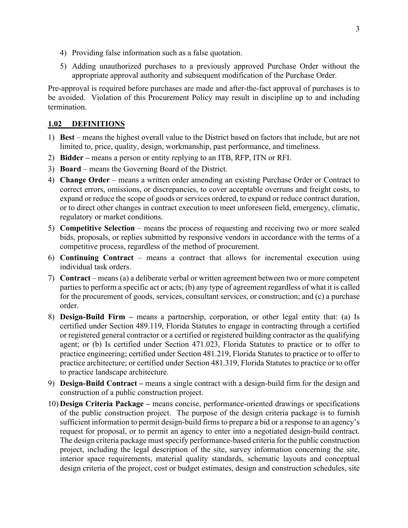- 4) Providing false information such as a false quotation.
- 5) Adding unauthorized purchases to a previously approved Purchase Order without the appropriate approval authority and subsequent modification of the Purchase Order.

Pre-approval is required before purchases are made and after-the-fact approval of purchases is to be avoided. Violation of this Procurement Policy may result in discipline up to and including termination.

## **1.02 DEFINITIONS**

- 1) **Best** means the highest overall value to the District based on factors that include, but are not limited to, price, quality, design, workmanship, past performance, and timeliness.
- 2) **Bidder** means a person or entity replying to an ITB, RFP, ITN or RFI.
- 3) **Board** means the Governing Board of the District.
- 4) **Change Order** means a written order amending an existing Purchase Order or Contract to correct errors, omissions, or discrepancies, to cover acceptable overruns and freight costs, to expand or reduce the scope of goods or services ordered, to expand or reduce contract duration, or to direct other changes in contract execution to meet unforeseen field, emergency, climatic, regulatory or market conditions.
- 5) **Competitive Selection** means the process of requesting and receiving two or more sealed bids, proposals, or replies submitted by responsive vendors in accordance with the terms of a competitive process, regardless of the method of procurement.
- 6) **Continuing Contract** means a contract that allows for incremental execution using individual task orders.
- 7) **Contract** means (a) a deliberate verbal or written agreement between two or more competent parties to perform a specific act or acts; (b) any type of agreement regardless of what it is called for the procurement of goods, services, consultant services, or construction; and (c) a purchase order.
- 8) **Design-Build Firm** means a partnership, corporation, or other legal entity that: (a) Is certified under Section 489.119, Florida Statutes to engage in contracting through a certified or registered general contractor or a certified or registered building contractor as the qualifying agent; or (b) Is certified under Section 471.023, Florida Statutes to practice or to offer to practice engineering; certified under Section 481.219, Florida Statutes to practice or to offer to practice architecture; or certified under Section 481.319, Florida Statutes to practice or to offer to practice landscape architecture.
- 9) **Design-Build Contract** means a single contract with a design-build firm for the design and construction of a public construction project.
- 10) **Design Criteria Package** means concise, performance-oriented drawings or specifications of the public construction project. The purpose of the design criteria package is to furnish sufficient information to permit design-build firms to prepare a bid or a response to an agency's request for proposal, or to permit an agency to enter into a negotiated design-build contract. The design criteria package must specify performance-based criteria for the public construction project, including the legal description of the site, survey information concerning the site, interior space requirements, material quality standards, schematic layouts and conceptual design criteria of the project, cost or budget estimates, design and construction schedules, site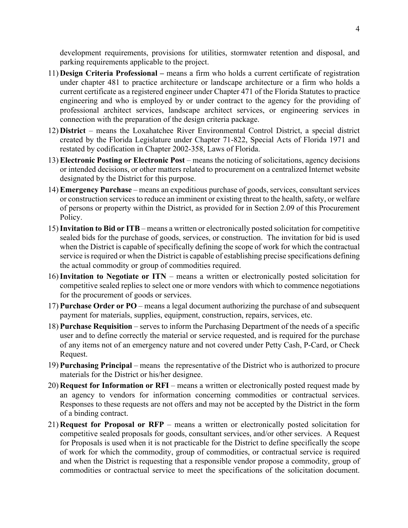development requirements, provisions for utilities, stormwater retention and disposal, and parking requirements applicable to the project.

- 11) **Design Criteria Professional** means a firm who holds a current certificate of registration under chapter 481 to practice architecture or landscape architecture or a firm who holds a current certificate as a registered engineer under Chapter 471 of the Florida Statutes to practice engineering and who is employed by or under contract to the agency for the providing of professional architect services, landscape architect services, or engineering services in connection with the preparation of the design criteria package.
- 12) **District** means the Loxahatchee River Environmental Control District, a special district created by the Florida Legislature under Chapter 71-822, Special Acts of Florida 1971 and restated by codification in Chapter 2002-358, Laws of Florida.
- 13) **Electronic Posting or Electronic Post** means the noticing of solicitations, agency decisions or intended decisions, or other matters related to procurement on a centralized Internet website designated by the District for this purpose.
- 14) **Emergency Purchase** means an expeditious purchase of goods, services, consultant services or construction services to reduce an imminent or existing threat to the health, safety, or welfare of persons or property within the District, as provided for in Section 2.09 of this Procurement Policy.
- 15)**Invitation to Bid or ITB** means a written or electronically posted solicitation for competitive sealed bids for the purchase of goods, services, or construction. The invitation for bid is used when the District is capable of specifically defining the scope of work for which the contractual service is required or when the District is capable of establishing precise specifications defining the actual commodity or group of commodities required.
- 16)**Invitation to Negotiate or ITN** means a written or electronically posted solicitation for competitive sealed replies to select one or more vendors with which to commence negotiations for the procurement of goods or services.
- 17) **Purchase Order or PO** means a legal document authorizing the purchase of and subsequent payment for materials, supplies, equipment, construction, repairs, services, etc.
- 18) **Purchase Requisition** serves to inform the Purchasing Department of the needs of a specific user and to define correctly the material or service requested, and is required for the purchase of any items not of an emergency nature and not covered under Petty Cash, P-Card, or Check Request.
- 19) **Purchasing Principal** means the representative of the District who is authorized to procure materials for the District or his/her designee.
- 20) **Request for Information or RFI** means a written or electronically posted request made by an agency to vendors for information concerning commodities or contractual services. Responses to these requests are not offers and may not be accepted by the District in the form of a binding contract.
- 21) **Request for Proposal or RFP** means a written or electronically posted solicitation for competitive sealed proposals for goods, consultant services, and/or other services. A Request for Proposals is used when it is not practicable for the District to define specifically the scope of work for which the commodity, group of commodities, or contractual service is required and when the District is requesting that a responsible vendor propose a commodity, group of commodities or contractual service to meet the specifications of the solicitation document.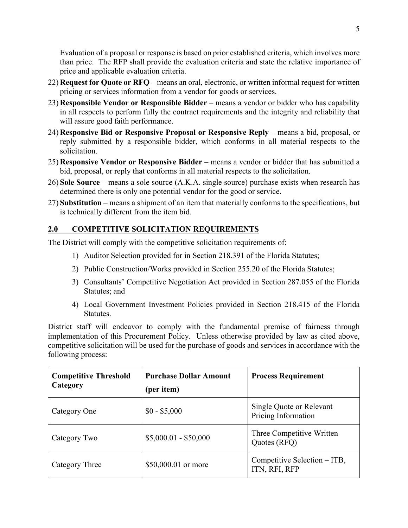Evaluation of a proposal or response is based on prior established criteria, which involves more than price. The RFP shall provide the evaluation criteria and state the relative importance of price and applicable evaluation criteria.

- 22) **Request for Quote or RFQ** means an oral, electronic, or written informal request for written pricing or services information from a vendor for goods or services.
- 23) **Responsible Vendor or Responsible Bidder** means a vendor or bidder who has capability in all respects to perform fully the contract requirements and the integrity and reliability that will assure good faith performance.
- 24) **Responsive Bid or Responsive Proposal or Responsive Reply** means a bid, proposal, or reply submitted by a responsible bidder, which conforms in all material respects to the solicitation.
- 25) **Responsive Vendor or Responsive Bidder** means a vendor or bidder that has submitted a bid, proposal, or reply that conforms in all material respects to the solicitation.
- 26) **Sole Source** means a sole source (A.K.A. single source) purchase exists when research has determined there is only one potential vendor for the good or service.
- 27) **Substitution** means a shipment of an item that materially conforms to the specifications, but is technically different from the item bid.

## **2.0 COMPETITIVE SOLICITATION REQUIREMENTS**

The District will comply with the competitive solicitation requirements of:

- 1) Auditor Selection provided for in Section 218.391 of the Florida Statutes;
- 2) Public Construction/Works provided in Section 255.20 of the Florida Statutes;
- 3) Consultants' Competitive Negotiation Act provided in Section 287.055 of the Florida Statutes; and
- 4) Local Government Investment Policies provided in Section 218.415 of the Florida Statutes.

District staff will endeavor to comply with the fundamental premise of fairness through implementation of this Procurement Policy. Unless otherwise provided by law as cited above, competitive solicitation will be used for the purchase of goods and services in accordance with the following process:

| <b>Competitive Threshold</b><br>Category | <b>Purchase Dollar Amount</b><br>(per item) | <b>Process Requirement</b>                      |
|------------------------------------------|---------------------------------------------|-------------------------------------------------|
| Category One                             | $$0 - $5,000$                               | Single Quote or Relevant<br>Pricing Information |
| Category Two                             | $$5,000.01 - $50,000$                       | Three Competitive Written<br>Quotes (RFQ)       |
| Category Three                           | \$50,000.01 or more                         | Competitive Selection – ITB,<br>ITN, RFI, RFP   |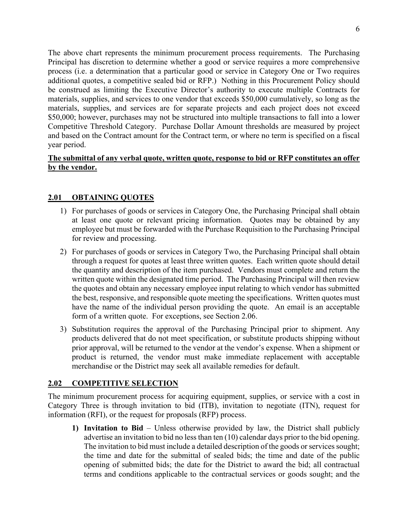The above chart represents the minimum procurement process requirements. The Purchasing Principal has discretion to determine whether a good or service requires a more comprehensive process (i.e. a determination that a particular good or service in Category One or Two requires additional quotes, a competitive sealed bid or RFP.) Nothing in this Procurement Policy should be construed as limiting the Executive Director's authority to execute multiple Contracts for materials, supplies, and services to one vendor that exceeds \$50,000 cumulatively, so long as the materials, supplies, and services are for separate projects and each project does not exceed \$50,000; however, purchases may not be structured into multiple transactions to fall into a lower Competitive Threshold Category. Purchase Dollar Amount thresholds are measured by project and based on the Contract amount for the Contract term, or where no term is specified on a fiscal year period.

## **The submittal of any verbal quote, written quote, response to bid or RFP constitutes an offer by the vendor.**

## **2.01 OBTAINING QUOTES**

- 1) For purchases of goods or services in Category One, the Purchasing Principal shall obtain at least one quote or relevant pricing information. Quotes may be obtained by any employee but must be forwarded with the Purchase Requisition to the Purchasing Principal for review and processing.
- 2) For purchases of goods or services in Category Two, the Purchasing Principal shall obtain through a request for quotes at least three written quotes. Each written quote should detail the quantity and description of the item purchased. Vendors must complete and return the written quote within the designated time period. The Purchasing Principal will then review the quotes and obtain any necessary employee input relating to which vendor has submitted the best, responsive, and responsible quote meeting the specifications. Written quotes must have the name of the individual person providing the quote. An email is an acceptable form of a written quote. For exceptions, see Section 2.06.
- 3) Substitution requires the approval of the Purchasing Principal prior to shipment. Any products delivered that do not meet specification, or substitute products shipping without prior approval, will be returned to the vendor at the vendor's expense. When a shipment or product is returned, the vendor must make immediate replacement with acceptable merchandise or the District may seek all available remedies for default.

## **2.02 COMPETITIVE SELECTION**

The minimum procurement process for acquiring equipment, supplies, or service with a cost in Category Three is through invitation to bid (ITB), invitation to negotiate (ITN), request for information (RFI), or the request for proposals (RFP) process.

**1) Invitation to Bid** – Unless otherwise provided by law, the District shall publicly advertise an invitation to bid no less than ten (10) calendar days prior to the bid opening. The invitation to bid must include a detailed description of the goods or services sought; the time and date for the submittal of sealed bids; the time and date of the public opening of submitted bids; the date for the District to award the bid; all contractual terms and conditions applicable to the contractual services or goods sought; and the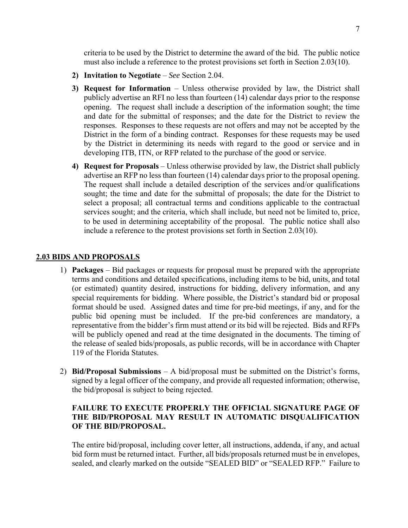criteria to be used by the District to determine the award of the bid. The public notice must also include a reference to the protest provisions set forth in Section 2.03(10).

- **2) Invitation to Negotiate** *See* Section 2.04.
- **3) Request for Information** Unless otherwise provided by law, the District shall publicly advertise an RFI no less than fourteen (14) calendar days prior to the response opening. The request shall include a description of the information sought; the time and date for the submittal of responses; and the date for the District to review the responses. Responses to these requests are not offers and may not be accepted by the District in the form of a binding contract. Responses for these requests may be used by the District in determining its needs with regard to the good or service and in developing ITB, ITN, or RFP related to the purchase of the good or service.
- **4) Request for Proposals** Unless otherwise provided by law, the District shall publicly advertise an RFP no less than fourteen (14) calendar days prior to the proposal opening. The request shall include a detailed description of the services and/or qualifications sought; the time and date for the submittal of proposals; the date for the District to select a proposal; all contractual terms and conditions applicable to the contractual services sought; and the criteria, which shall include, but need not be limited to, price, to be used in determining acceptability of the proposal. The public notice shall also include a reference to the protest provisions set forth in Section 2.03(10).

#### **2.03 BIDS AND PROPOSALS**

- 1) **Packages** Bid packages or requests for proposal must be prepared with the appropriate terms and conditions and detailed specifications, including items to be bid, units, and total (or estimated) quantity desired, instructions for bidding, delivery information, and any special requirements for bidding. Where possible, the District's standard bid or proposal format should be used. Assigned dates and time for pre-bid meetings, if any, and for the public bid opening must be included. If the pre-bid conferences are mandatory, a representative from the bidder's firm must attend or its bid will be rejected. Bids and RFPs will be publicly opened and read at the time designated in the documents. The timing of the release of sealed bids/proposals, as public records, will be in accordance with Chapter 119 of the Florida Statutes.
- 2) **Bid/Proposal Submissions** A bid/proposal must be submitted on the District's forms, signed by a legal officer of the company, and provide all requested information; otherwise, the bid/proposal is subject to being rejected.

### **FAILURE TO EXECUTE PROPERLY THE OFFICIAL SIGNATURE PAGE OF THE BID/PROPOSAL MAY RESULT IN AUTOMATIC DISQUALIFICATION OF THE BID/PROPOSAL.**

The entire bid/proposal, including cover letter, all instructions, addenda, if any, and actual bid form must be returned intact. Further, all bids/proposals returned must be in envelopes, sealed, and clearly marked on the outside "SEALED BID" or "SEALED RFP." Failure to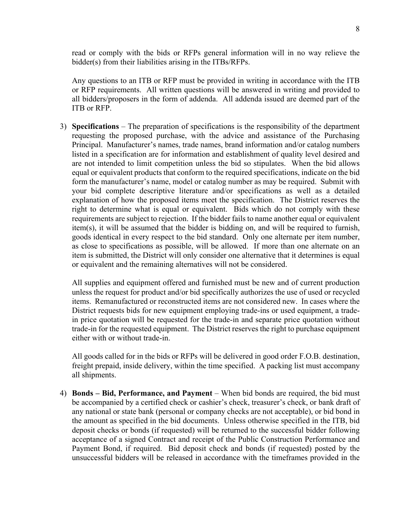read or comply with the bids or RFPs general information will in no way relieve the bidder(s) from their liabilities arising in the ITBs/RFPs.

Any questions to an ITB or RFP must be provided in writing in accordance with the ITB or RFP requirements. All written questions will be answered in writing and provided to all bidders/proposers in the form of addenda. All addenda issued are deemed part of the ITB or RFP.

3) **Specifications** – The preparation of specifications is the responsibility of the department requesting the proposed purchase, with the advice and assistance of the Purchasing Principal. Manufacturer's names, trade names, brand information and/or catalog numbers listed in a specification are for information and establishment of quality level desired and are not intended to limit competition unless the bid so stipulates. When the bid allows equal or equivalent products that conform to the required specifications, indicate on the bid form the manufacturer's name, model or catalog number as may be required. Submit with your bid complete descriptive literature and/or specifications as well as a detailed explanation of how the proposed items meet the specification. The District reserves the right to determine what is equal or equivalent. Bids which do not comply with these requirements are subject to rejection. If the bidder fails to name another equal or equivalent item(s), it will be assumed that the bidder is bidding on, and will be required to furnish, goods identical in every respect to the bid standard. Only one alternate per item number, as close to specifications as possible, will be allowed. If more than one alternate on an item is submitted, the District will only consider one alternative that it determines is equal or equivalent and the remaining alternatives will not be considered.

All supplies and equipment offered and furnished must be new and of current production unless the request for product and/or bid specifically authorizes the use of used or recycled items. Remanufactured or reconstructed items are not considered new. In cases where the District requests bids for new equipment employing trade-ins or used equipment, a tradein price quotation will be requested for the trade-in and separate price quotation without trade-in for the requested equipment. The District reserves the right to purchase equipment either with or without trade-in.

All goods called for in the bids or RFPs will be delivered in good order F.O.B. destination, freight prepaid, inside delivery, within the time specified. A packing list must accompany all shipments.

4) **Bonds – Bid, Performance, and Payment** – When bid bonds are required, the bid must be accompanied by a certified check or cashier's check, treasurer's check, or bank draft of any national or state bank (personal or company checks are not acceptable), or bid bond in the amount as specified in the bid documents. Unless otherwise specified in the ITB, bid deposit checks or bonds (if requested) will be returned to the successful bidder following acceptance of a signed Contract and receipt of the Public Construction Performance and Payment Bond, if required. Bid deposit check and bonds (if requested) posted by the unsuccessful bidders will be released in accordance with the timeframes provided in the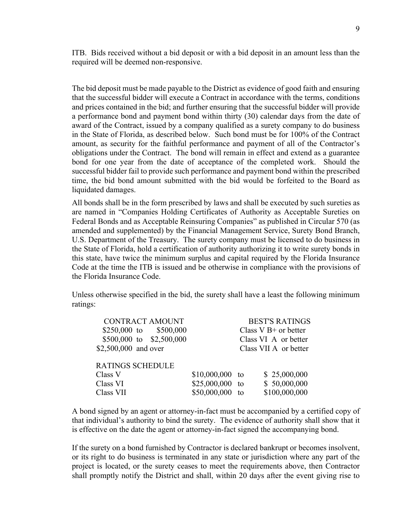ITB. Bids received without a bid deposit or with a bid deposit in an amount less than the required will be deemed non-responsive.

The bid deposit must be made payable to the District as evidence of good faith and ensuring that the successful bidder will execute a Contract in accordance with the terms, conditions and prices contained in the bid; and further ensuring that the successful bidder will provide a performance bond and payment bond within thirty (30) calendar days from the date of award of the Contract, issued by a company qualified as a surety company to do business in the State of Florida, as described below. Such bond must be for 100% of the Contract amount, as security for the faithful performance and payment of all of the Contractor's obligations under the Contract. The bond will remain in effect and extend as a guarantee bond for one year from the date of acceptance of the completed work. Should the successful bidder fail to provide such performance and payment bond within the prescribed time, the bid bond amount submitted with the bid would be forfeited to the Board as liquidated damages.

All bonds shall be in the form prescribed by laws and shall be executed by such sureties as are named in "Companies Holding Certificates of Authority as Acceptable Sureties on Federal Bonds and as Acceptable Reinsuring Companies" as published in Circular 570 (as amended and supplemented) by the Financial Management Service, Surety Bond Branch, U.S. Department of the Treasury. The surety company must be licensed to do business in the State of Florida, hold a certification of authority authorizing it to write surety bonds in this state, have twice the minimum surplus and capital required by the Florida Insurance Code at the time the ITB is issued and be otherwise in compliance with the provisions of the Florida Insurance Code.

Unless otherwise specified in the bid, the surety shall have a least the following minimum ratings:

| <b>CONTRACT AMOUNT</b>   |                  |    | <b>BEST'S RATINGS</b>  |
|--------------------------|------------------|----|------------------------|
| \$250,000 to \$500,000   |                  |    | Class $V B+$ or better |
| \$500,000 to \$2,500,000 |                  |    | Class VI A or better   |
| \$2,500,000 and over     |                  |    | Class VII A or better  |
| <b>RATINGS SCHEDULE</b>  |                  |    |                        |
| Class V                  | $$10,000,000$ to |    | \$25,000,000           |
| Class VI                 | $$25,000,000$ to |    | \$50,000,000           |
| Class VII                | \$50,000,000     | to | \$100,000,000          |

A bond signed by an agent or attorney-in-fact must be accompanied by a certified copy of that individual's authority to bind the surety. The evidence of authority shall show that it is effective on the date the agent or attorney-in-fact signed the accompanying bond.

If the surety on a bond furnished by Contractor is declared bankrupt or becomes insolvent, or its right to do business is terminated in any state or jurisdiction where any part of the project is located, or the surety ceases to meet the requirements above, then Contractor shall promptly notify the District and shall, within 20 days after the event giving rise to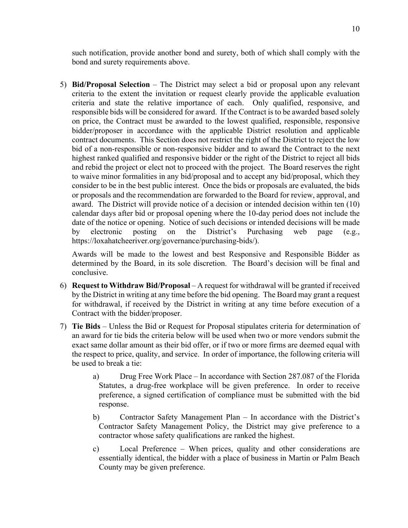such notification, provide another bond and surety, both of which shall comply with the bond and surety requirements above.

5) **Bid/Proposal Selection** – The District may select a bid or proposal upon any relevant criteria to the extent the invitation or request clearly provide the applicable evaluation criteria and state the relative importance of each. Only qualified, responsive, and responsible bids will be considered for award. If the Contract is to be awarded based solely on price, the Contract must be awarded to the lowest qualified, responsible, responsive bidder/proposer in accordance with the applicable District resolution and applicable contract documents. This Section does not restrict the right of the District to reject the low bid of a non-responsible or non-responsive bidder and to award the Contract to the next highest ranked qualified and responsive bidder or the right of the District to reject all bids and rebid the project or elect not to proceed with the project. The Board reserves the right to waive minor formalities in any bid/proposal and to accept any bid/proposal, which they consider to be in the best public interest. Once the bids or proposals are evaluated, the bids or proposals and the recommendation are forwarded to the Board for review, approval, and award. The District will provide notice of a decision or intended decision within ten (10) calendar days after bid or proposal opening where the 10-day period does not include the date of the notice or opening. Notice of such decisions or intended decisions will be made by electronic posting on the District's Purchasing web page (e.g., https://loxahatcheeriver.org/governance/purchasing-bids/).

Awards will be made to the lowest and best Responsive and Responsible Bidder as determined by the Board, in its sole discretion. The Board's decision will be final and conclusive.

- 6) **Request to Withdraw Bid/Proposal** A request for withdrawal will be granted if received by the District in writing at any time before the bid opening. The Board may grant a request for withdrawal, if received by the District in writing at any time before execution of a Contract with the bidder/proposer.
- 7) **Tie Bids** Unless the Bid or Request for Proposal stipulates criteria for determination of an award for tie bids the criteria below will be used when two or more vendors submit the exact same dollar amount as their bid offer, or if two or more firms are deemed equal with the respect to price, quality, and service. In order of importance, the following criteria will be used to break a tie:
	- a) Drug Free Work Place In accordance with Section 287.087 of the Florida Statutes, a drug-free workplace will be given preference. In order to receive preference, a signed certification of compliance must be submitted with the bid response.
	- b) Contractor Safety Management Plan In accordance with the District's Contractor Safety Management Policy, the District may give preference to a contractor whose safety qualifications are ranked the highest.
	- c) Local Preference When prices, quality and other considerations are essentially identical, the bidder with a place of business in Martin or Palm Beach County may be given preference.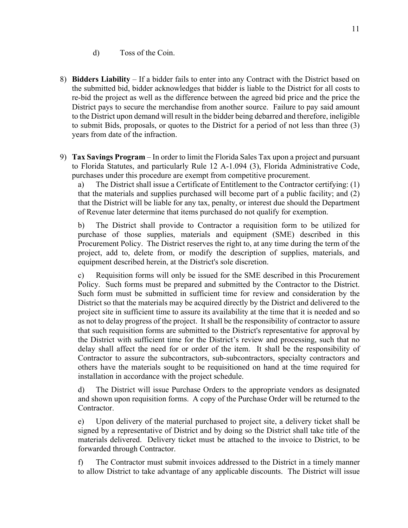- d) Toss of the Coin.
- 8) **Bidders Liability** If a bidder fails to enter into any Contract with the District based on the submitted bid, bidder acknowledges that bidder is liable to the District for all costs to re-bid the project as well as the difference between the agreed bid price and the price the District pays to secure the merchandise from another source. Failure to pay said amount to the District upon demand will result in the bidder being debarred and therefore, ineligible to submit Bids, proposals, or quotes to the District for a period of not less than three (3) years from date of the infraction.
- 9) **Tax Savings Program** In order to limit the Florida Sales Tax upon a project and pursuant to Florida Statutes, and particularly Rule 12 A-1.094 (3), Florida Administrative Code, purchases under this procedure are exempt from competitive procurement.

a) The District shall issue a Certificate of Entitlement to the Contractor certifying: (1) that the materials and supplies purchased will become part of a public facility; and (2) that the District will be liable for any tax, penalty, or interest due should the Department of Revenue later determine that items purchased do not qualify for exemption.

b) The District shall provide to Contractor a requisition form to be utilized for purchase of those supplies, materials and equipment (SME) described in this Procurement Policy. The District reserves the right to, at any time during the term of the project, add to, delete from, or modify the description of supplies, materials, and equipment described herein, at the District's sole discretion.

c) Requisition forms will only be issued for the SME described in this Procurement Policy. Such forms must be prepared and submitted by the Contractor to the District. Such form must be submitted in sufficient time for review and consideration by the District so that the materials may be acquired directly by the District and delivered to the project site in sufficient time to assure its availability at the time that it is needed and so as not to delay progress of the project. It shall be the responsibility of contractor to assure that such requisition forms are submitted to the District's representative for approval by the District with sufficient time for the District's review and processing, such that no delay shall affect the need for or order of the item. It shall be the responsibility of Contractor to assure the subcontractors, sub-subcontractors, specialty contractors and others have the materials sought to be requisitioned on hand at the time required for installation in accordance with the project schedule.

d) The District will issue Purchase Orders to the appropriate vendors as designated and shown upon requisition forms. A copy of the Purchase Order will be returned to the Contractor.

e) Upon delivery of the material purchased to project site, a delivery ticket shall be signed by a representative of District and by doing so the District shall take title of the materials delivered. Delivery ticket must be attached to the invoice to District, to be forwarded through Contractor.

f) The Contractor must submit invoices addressed to the District in a timely manner to allow District to take advantage of any applicable discounts. The District will issue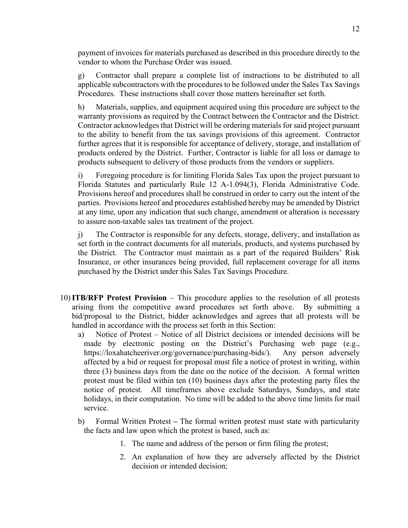payment of invoices for materials purchased as described in this procedure directly to the vendor to whom the Purchase Order was issued.

g) Contractor shall prepare a complete list of instructions to be distributed to all applicable subcontractors with the procedures to be followed under the Sales Tax Savings Procedures. These instructions shall cover those matters hereinafter set forth.

h) Materials, supplies, and equipment acquired using this procedure are subject to the warranty provisions as required by the Contract between the Contractor and the District. Contractor acknowledges that District will be ordering materials for said project pursuant to the ability to benefit from the tax savings provisions of this agreement. Contractor further agrees that it is responsible for acceptance of delivery, storage, and installation of products ordered by the District. Further, Contractor is liable for all loss or damage to products subsequent to delivery of those products from the vendors or suppliers.

i) Foregoing procedure is for limiting Florida Sales Tax upon the project pursuant to Florida Statutes and particularly Rule 12 A-1.094(3), Florida Administrative Code. Provisions hereof and procedures shall be construed in order to carry out the intent of the parties. Provisions hereof and procedures established hereby may be amended by District at any time, upon any indication that such change, amendment or alteration is necessary to assure non-taxable sales tax treatment of the project.

j) The Contractor is responsible for any defects, storage, delivery, and installation as set forth in the contract documents for all materials, products, and systems purchased by the District. The Contractor must maintain as a part of the required Builders' Risk Insurance, or other insurances being provided, full replacement coverage for all items purchased by the District under this Sales Tax Savings Procedure.

- 10)**ITB/RFP Protest Provision** This procedure applies to the resolution of all protests arising from the competitive award procedures set forth above. By submitting a bid/proposal to the District, bidder acknowledges and agrees that all protests will be handled in accordance with the process set forth in this Section:
	- a) Notice of Protest Notice of all District decisions or intended decisions will be made by electronic posting on the District's Purchasing web page (e.g., https://loxahatcheeriver.org/governance/purchasing-bids/). Any person adversely affected by a bid or request for proposal must file a notice of protest in writing, within three (3) business days from the date on the notice of the decision. A formal written protest must be filed within ten (10) business days after the protesting party files the notice of protest. All timeframes above exclude Saturdays, Sundays, and state holidays, in their computation. No time will be added to the above time limits for mail service.
	- b) Formal Written ProtestThe formal written protest must state with particularity the facts and law upon which the protest is based, such as:
		- 1. The name and address of the person or firm filing the protest;
		- 2. An explanation of how they are adversely affected by the District decision or intended decision;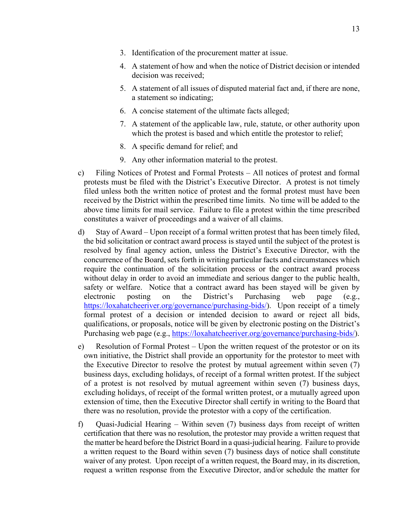- 3. Identification of the procurement matter at issue.
- 4. A statement of how and when the notice of District decision or intended decision was received;
- 5. A statement of all issues of disputed material fact and, if there are none, a statement so indicating;
- 6. A concise statement of the ultimate facts alleged;
- 7. A statement of the applicable law, rule, statute, or other authority upon which the protest is based and which entitle the protestor to relief;
- 8. A specific demand for relief; and
- 9. Any other information material to the protest.
- c) Filing Notices of Protest and Formal Protests All notices of protest and formal protests must be filed with the District's Executive Director. A protest is not timely filed unless both the written notice of protest and the formal protest must have been received by the District within the prescribed time limits. No time will be added to the above time limits for mail service. Failure to file a protest within the time prescribed constitutes a waiver of proceedings and a waiver of all claims.
- d) Stay of Award Upon receipt of a formal written protest that has been timely filed, the bid solicitation or contract award process is stayed until the subject of the protest is resolved by final agency action, unless the District's Executive Director, with the concurrence of the Board, sets forth in writing particular facts and circumstances which require the continuation of the solicitation process or the contract award process without delay in order to avoid an immediate and serious danger to the public health, safety or welfare. Notice that a contract award has been stayed will be given by electronic posting on the District's Purchasing web page (e.g., https://loxahatcheeriver.org/governance/purchasing-bids/). Upon receipt of a timely formal protest of a decision or intended decision to award or reject all bids, qualifications, or proposals, notice will be given by electronic posting on the District's Purchasing web page (e.g., https://loxahatcheeriver.org/governance/purchasing-bids/).
- e) Resolution of Formal Protest Upon the written request of the protestor or on its own initiative, the District shall provide an opportunity for the protestor to meet with the Executive Director to resolve the protest by mutual agreement within seven (7) business days, excluding holidays, of receipt of a formal written protest. If the subject of a protest is not resolved by mutual agreement within seven (7) business days, excluding holidays, of receipt of the formal written protest, or a mutually agreed upon extension of time, then the Executive Director shall certify in writing to the Board that there was no resolution, provide the protestor with a copy of the certification.
- f) Quasi-Judicial Hearing Within seven (7) business days from receipt of written certification that there was no resolution, the protestor may provide a written request that the matter be heard before the District Board in a quasi-judicial hearing. Failure to provide a written request to the Board within seven (7) business days of notice shall constitute waiver of any protest. Upon receipt of a written request, the Board may, in its discretion, request a written response from the Executive Director, and/or schedule the matter for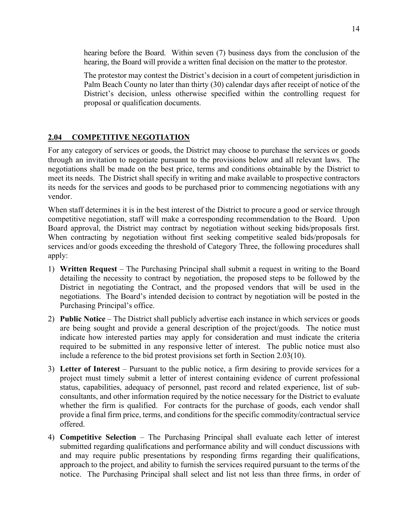hearing before the Board. Within seven (7) business days from the conclusion of the hearing, the Board will provide a written final decision on the matter to the protestor.

The protestor may contest the District's decision in a court of competent jurisdiction in Palm Beach County no later than thirty (30) calendar days after receipt of notice of the District's decision, unless otherwise specified within the controlling request for proposal or qualification documents.

## **2.04 COMPETITIVE NEGOTIATION**

For any category of services or goods, the District may choose to purchase the services or goods through an invitation to negotiate pursuant to the provisions below and all relevant laws. The negotiations shall be made on the best price, terms and conditions obtainable by the District to meet its needs. The District shall specify in writing and make available to prospective contractors its needs for the services and goods to be purchased prior to commencing negotiations with any vendor.

When staff determines it is in the best interest of the District to procure a good or service through competitive negotiation, staff will make a corresponding recommendation to the Board. Upon Board approval, the District may contract by negotiation without seeking bids/proposals first. When contracting by negotiation without first seeking competitive sealed bids/proposals for services and/or goods exceeding the threshold of Category Three, the following procedures shall apply:

- 1) **Written Request** The Purchasing Principal shall submit a request in writing to the Board detailing the necessity to contract by negotiation, the proposed steps to be followed by the District in negotiating the Contract, and the proposed vendors that will be used in the negotiations. The Board's intended decision to contract by negotiation will be posted in the Purchasing Principal's office.
- 2) **Public Notice** The District shall publicly advertise each instance in which services or goods are being sought and provide a general description of the project/goods. The notice must indicate how interested parties may apply for consideration and must indicate the criteria required to be submitted in any responsive letter of interest. The public notice must also include a reference to the bid protest provisions set forth in Section 2.03(10).
- 3) **Letter of Interest** Pursuant to the public notice, a firm desiring to provide services for a project must timely submit a letter of interest containing evidence of current professional status, capabilities, adequacy of personnel, past record and related experience, list of subconsultants, and other information required by the notice necessary for the District to evaluate whether the firm is qualified. For contracts for the purchase of goods, each vendor shall provide a final firm price, terms, and conditions for the specific commodity/contractual service offered.
- 4) **Competitive Selection** The Purchasing Principal shall evaluate each letter of interest submitted regarding qualifications and performance ability and will conduct discussions with and may require public presentations by responding firms regarding their qualifications, approach to the project, and ability to furnish the services required pursuant to the terms of the notice. The Purchasing Principal shall select and list not less than three firms, in order of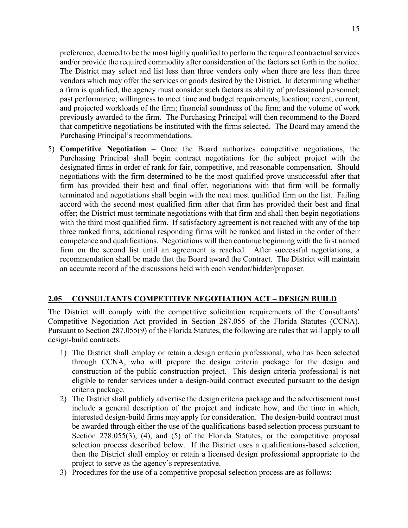preference, deemed to be the most highly qualified to perform the required contractual services and/or provide the required commodity after consideration of the factors set forth in the notice. The District may select and list less than three vendors only when there are less than three vendors which may offer the services or goods desired by the District. In determining whether a firm is qualified, the agency must consider such factors as ability of professional personnel; past performance; willingness to meet time and budget requirements; location; recent, current, and projected workloads of the firm; financial soundness of the firm; and the volume of work previously awarded to the firm. The Purchasing Principal will then recommend to the Board that competitive negotiations be instituted with the firms selected. The Board may amend the Purchasing Principal's recommendations.

5) **Competitive Negotiation** – Once the Board authorizes competitive negotiations, the Purchasing Principal shall begin contract negotiations for the subject project with the designated firms in order of rank for fair, competitive, and reasonable compensation. Should negotiations with the firm determined to be the most qualified prove unsuccessful after that firm has provided their best and final offer, negotiations with that firm will be formally terminated and negotiations shall begin with the next most qualified firm on the list. Failing accord with the second most qualified firm after that firm has provided their best and final offer; the District must terminate negotiations with that firm and shall then begin negotiations with the third most qualified firm. If satisfactory agreement is not reached with any of the top three ranked firms, additional responding firms will be ranked and listed in the order of their competence and qualifications. Negotiations will then continue beginning with the first named firm on the second list until an agreement is reached. After successful negotiations, a recommendation shall be made that the Board award the Contract. The District will maintain an accurate record of the discussions held with each vendor/bidder/proposer.

## **2.05 CONSULTANTS COMPETITIVE NEGOTIATION ACT – DESIGN BUILD**

The District will comply with the competitive solicitation requirements of the Consultants' Competitive Negotiation Act provided in Section 287.055 of the Florida Statutes (CCNA). Pursuant to Section 287.055(9) of the Florida Statutes, the following are rules that will apply to all design-build contracts.

- 1) The District shall employ or retain a design criteria professional, who has been selected through CCNA, who will prepare the design criteria package for the design and construction of the public construction project. This design criteria professional is not eligible to render services under a design-build contract executed pursuant to the design criteria package.
- 2) The District shall publicly advertise the design criteria package and the advertisement must include a general description of the project and indicate how, and the time in which, interested design-build firms may apply for consideration. The design-build contract must be awarded through either the use of the qualifications-based selection process pursuant to Section 278.055(3), (4), and (5) of the Florida Statutes, or the competitive proposal selection process described below. If the District uses a qualifications-based selection, then the District shall employ or retain a licensed design professional appropriate to the project to serve as the agency's representative.
- 3) Procedures for the use of a competitive proposal selection process are as follows: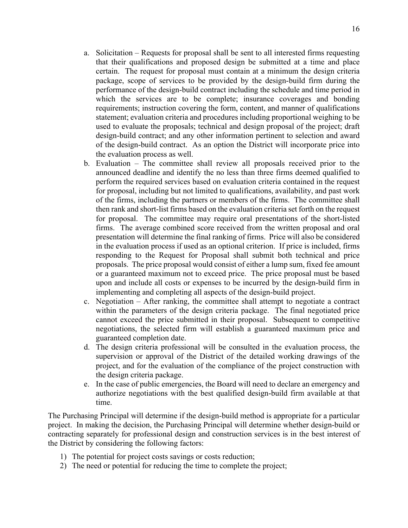- a. Solicitation Requests for proposal shall be sent to all interested firms requesting that their qualifications and proposed design be submitted at a time and place certain. The request for proposal must contain at a minimum the design criteria package, scope of services to be provided by the design-build firm during the performance of the design-build contract including the schedule and time period in which the services are to be complete; insurance coverages and bonding requirements; instruction covering the form, content, and manner of qualifications statement; evaluation criteria and procedures including proportional weighing to be used to evaluate the proposals; technical and design proposal of the project; draft design-build contract; and any other information pertinent to selection and award of the design-build contract. As an option the District will incorporate price into the evaluation process as well.
- b. Evaluation The committee shall review all proposals received prior to the announced deadline and identify the no less than three firms deemed qualified to perform the required services based on evaluation criteria contained in the request for proposal, including but not limited to qualifications, availability, and past work of the firms, including the partners or members of the firms. The committee shall then rank and short-list firms based on the evaluation criteria set forth on the request for proposal. The committee may require oral presentations of the short-listed firms. The average combined score received from the written proposal and oral presentation will determine the final ranking of firms. Price will also be considered in the evaluation process if used as an optional criterion. If price is included, firms responding to the Request for Proposal shall submit both technical and price proposals. The price proposal would consist of either a lump sum, fixed fee amount or a guaranteed maximum not to exceed price. The price proposal must be based upon and include all costs or expenses to be incurred by the design-build firm in implementing and completing all aspects of the design-build project.
- c. Negotiation After ranking, the committee shall attempt to negotiate a contract within the parameters of the design criteria package. The final negotiated price cannot exceed the price submitted in their proposal. Subsequent to competitive negotiations, the selected firm will establish a guaranteed maximum price and guaranteed completion date.
- d. The design criteria professional will be consulted in the evaluation process, the supervision or approval of the District of the detailed working drawings of the project, and for the evaluation of the compliance of the project construction with the design criteria package.
- e. In the case of public emergencies, the Board will need to declare an emergency and authorize negotiations with the best qualified design-build firm available at that time.

The Purchasing Principal will determine if the design-build method is appropriate for a particular project. In making the decision, the Purchasing Principal will determine whether design-build or contracting separately for professional design and construction services is in the best interest of the District by considering the following factors:

- 1) The potential for project costs savings or costs reduction;
- 2) The need or potential for reducing the time to complete the project;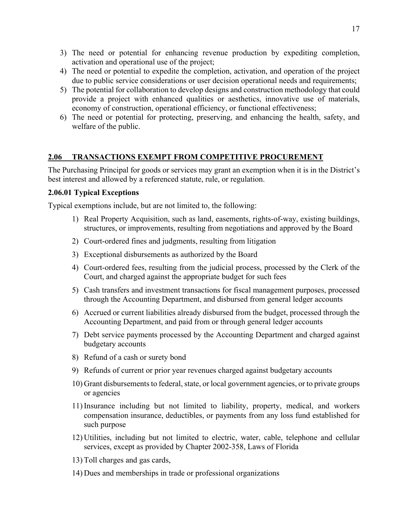- 3) The need or potential for enhancing revenue production by expediting completion, activation and operational use of the project;
- 4) The need or potential to expedite the completion, activation, and operation of the project due to public service considerations or user decision operational needs and requirements;
- 5) The potential for collaboration to develop designs and construction methodology that could provide a project with enhanced qualities or aesthetics, innovative use of materials, economy of construction, operational efficiency, or functional effectiveness;
- 6) The need or potential for protecting, preserving, and enhancing the health, safety, and welfare of the public.

### **2.06 TRANSACTIONS EXEMPT FROM COMPETITIVE PROCUREMENT**

The Purchasing Principal for goods or services may grant an exemption when it is in the District's best interest and allowed by a referenced statute, rule, or regulation.

### **2.06.01 Typical Exceptions**

Typical exemptions include, but are not limited to, the following:

- 1) Real Property Acquisition, such as land, easements, rights-of-way, existing buildings, structures, or improvements, resulting from negotiations and approved by the Board
- 2) Court-ordered fines and judgments, resulting from litigation
- 3) Exceptional disbursements as authorized by the Board
- 4) Court-ordered fees, resulting from the judicial process, processed by the Clerk of the Court, and charged against the appropriate budget for such fees
- 5) Cash transfers and investment transactions for fiscal management purposes, processed through the Accounting Department, and disbursed from general ledger accounts
- 6) Accrued or current liabilities already disbursed from the budget, processed through the Accounting Department, and paid from or through general ledger accounts
- 7) Debt service payments processed by the Accounting Department and charged against budgetary accounts
- 8) Refund of a cash or surety bond
- 9) Refunds of current or prior year revenues charged against budgetary accounts
- 10) Grant disbursements to federal, state, or local government agencies, or to private groups or agencies
- 11) Insurance including but not limited to liability, property, medical, and workers compensation insurance, deductibles, or payments from any loss fund established for such purpose
- 12) Utilities, including but not limited to electric, water, cable, telephone and cellular services, except as provided by Chapter 2002-358, Laws of Florida
- 13) Toll charges and gas cards,
- 14) Dues and memberships in trade or professional organizations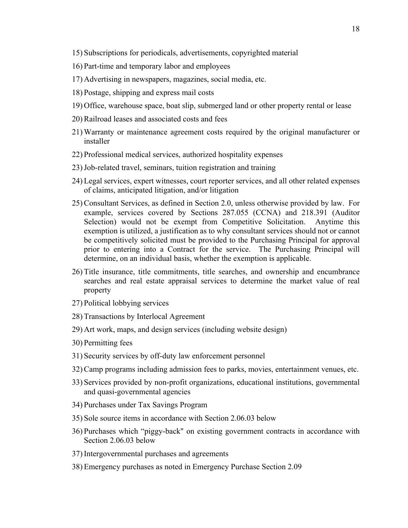- 15) Subscriptions for periodicals, advertisements, copyrighted material
- 16) Part-time and temporary labor and employees
- 17) Advertising in newspapers, magazines, social media, etc.
- 18) Postage, shipping and express mail costs
- 19) Office, warehouse space, boat slip, submerged land or other property rental or lease
- 20) Railroad leases and associated costs and fees
- 21) Warranty or maintenance agreement costs required by the original manufacturer or installer
- 22) Professional medical services, authorized hospitality expenses
- 23)Job-related travel, seminars, tuition registration and training
- 24) Legal services, expert witnesses, court reporter services, and all other related expenses of claims, anticipated litigation, and/or litigation
- 25) Consultant Services, as defined in Section 2.0, unless otherwise provided by law. For example, services covered by Sections 287.055 (CCNA) and 218.391 (Auditor Selection) would not be exempt from Competitive Solicitation. Anytime this exemption is utilized, a justification as to why consultant services should not or cannot be competitively solicited must be provided to the Purchasing Principal for approval prior to entering into a Contract for the service. The Purchasing Principal will determine, on an individual basis, whether the exemption is applicable.
- 26) Title insurance, title commitments, title searches, and ownership and encumbrance searches and real estate appraisal services to determine the market value of real property
- 27) Political lobbying services
- 28) Transactions by Interlocal Agreement
- 29) Art work, maps, and design services (including website design)
- 30) Permitting fees
- 31) Security services by off-duty law enforcement personnel
- 32) Camp programs including admission fees to parks, movies, entertainment venues, etc.
- 33) Services provided by non-profit organizations, educational institutions, governmental and quasi-governmental agencies
- 34) Purchases under Tax Savings Program
- 35) Sole source items in accordance with Section 2.06.03 below
- 36) Purchases which "piggy-back" on existing government contracts in accordance with Section 2.06.03 below
- 37) Intergovernmental purchases and agreements
- 38) Emergency purchases as noted in Emergency Purchase Section 2.09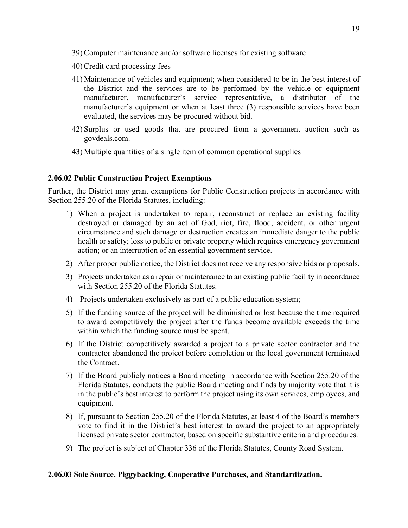- 39) Computer maintenance and/or software licenses for existing software
- 40) Credit card processing fees
- 41) Maintenance of vehicles and equipment; when considered to be in the best interest of the District and the services are to be performed by the vehicle or equipment manufacturer, manufacturer's service representative, a distributor of the manufacturer's equipment or when at least three (3) responsible services have been evaluated, the services may be procured without bid.
- 42) Surplus or used goods that are procured from a government auction such as govdeals.com.
- 43) Multiple quantities of a single item of common operational supplies

### **2.06.02 Public Construction Project Exemptions**

Further, the District may grant exemptions for Public Construction projects in accordance with Section 255.20 of the Florida Statutes, including:

- 1) When a project is undertaken to repair, reconstruct or replace an existing facility destroyed or damaged by an act of God, riot, fire, flood, accident, or other urgent circumstance and such damage or destruction creates an immediate danger to the public health or safety; loss to public or private property which requires emergency government action; or an interruption of an essential government service.
- 2) After proper public notice, the District does not receive any responsive bids or proposals.
- 3) Projects undertaken as a repair or maintenance to an existing public facility in accordance with Section 255.20 of the Florida Statutes.
- 4) Projects undertaken exclusively as part of a public education system;
- 5) If the funding source of the project will be diminished or lost because the time required to award competitively the project after the funds become available exceeds the time within which the funding source must be spent.
- 6) If the District competitively awarded a project to a private sector contractor and the contractor abandoned the project before completion or the local government terminated the Contract.
- 7) If the Board publicly notices a Board meeting in accordance with Section 255.20 of the Florida Statutes, conducts the public Board meeting and finds by majority vote that it is in the public's best interest to perform the project using its own services, employees, and equipment.
- 8) If, pursuant to Section 255.20 of the Florida Statutes, at least 4 of the Board's members vote to find it in the District's best interest to award the project to an appropriately licensed private sector contractor, based on specific substantive criteria and procedures.
- 9) The project is subject of Chapter 336 of the Florida Statutes, County Road System.

#### **2.06.03 Sole Source, Piggybacking, Cooperative Purchases, and Standardization.**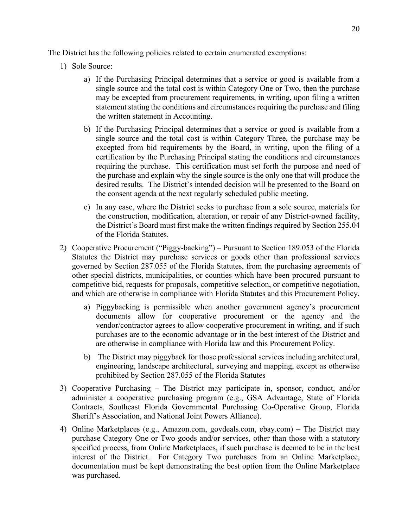The District has the following policies related to certain enumerated exemptions:

- 1) Sole Source:
	- a) If the Purchasing Principal determines that a service or good is available from a single source and the total cost is within Category One or Two, then the purchase may be excepted from procurement requirements, in writing, upon filing a written statement stating the conditions and circumstances requiring the purchase and filing the written statement in Accounting.
	- b) If the Purchasing Principal determines that a service or good is available from a single source and the total cost is within Category Three, the purchase may be excepted from bid requirements by the Board, in writing, upon the filing of a certification by the Purchasing Principal stating the conditions and circumstances requiring the purchase. This certification must set forth the purpose and need of the purchase and explain why the single source is the only one that will produce the desired results. The District's intended decision will be presented to the Board on the consent agenda at the next regularly scheduled public meeting.
	- c) In any case, where the District seeks to purchase from a sole source, materials for the construction, modification, alteration, or repair of any District-owned facility, the District's Board must first make the written findings required by Section 255.04 of the Florida Statutes.
- 2) Cooperative Procurement ("Piggy-backing") Pursuant to Section 189.053 of the Florida Statutes the District may purchase services or goods other than professional services governed by Section 287.055 of the Florida Statutes, from the purchasing agreements of other special districts, municipalities, or counties which have been procured pursuant to competitive bid, requests for proposals, competitive selection, or competitive negotiation, and which are otherwise in compliance with Florida Statutes and this Procurement Policy.
	- a) Piggybacking is permissible when another government agency's procurement documents allow for cooperative procurement or the agency and the vendor/contractor agrees to allow cooperative procurement in writing, and if such purchases are to the economic advantage or in the best interest of the District and are otherwise in compliance with Florida law and this Procurement Policy.
	- b) The District may piggyback for those professional services including architectural, engineering, landscape architectural, surveying and mapping, except as otherwise prohibited by Section 287.055 of the Florida Statutes
- 3) Cooperative Purchasing The District may participate in, sponsor, conduct, and/or administer a cooperative purchasing program (e.g., GSA Advantage, State of Florida Contracts, Southeast Florida Governmental Purchasing Co-Operative Group, Florida Sheriff's Association, and National Joint Powers Alliance).
- 4) Online Marketplaces (e.g., Amazon.com, govdeals.com, ebay.com) The District may purchase Category One or Two goods and/or services, other than those with a statutory specified process, from Online Marketplaces, if such purchase is deemed to be in the best interest of the District. For Category Two purchases from an Online Marketplace, documentation must be kept demonstrating the best option from the Online Marketplace was purchased.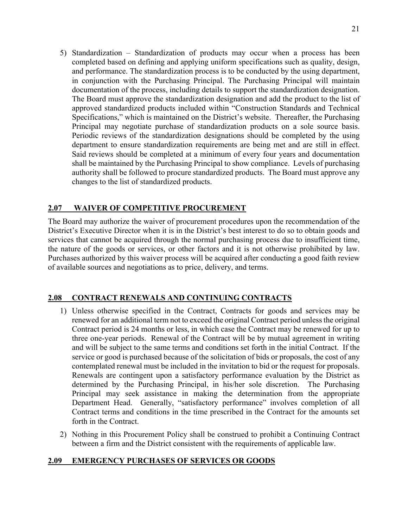5) Standardization – Standardization of products may occur when a process has been completed based on defining and applying uniform specifications such as quality, design, and performance. The standardization process is to be conducted by the using department, in conjunction with the Purchasing Principal. The Purchasing Principal will maintain documentation of the process, including details to support the standardization designation. The Board must approve the standardization designation and add the product to the list of approved standardized products included within "Construction Standards and Technical Specifications," which is maintained on the District's website. Thereafter, the Purchasing Principal may negotiate purchase of standardization products on a sole source basis. Periodic reviews of the standardization designations should be completed by the using department to ensure standardization requirements are being met and are still in effect. Said reviews should be completed at a minimum of every four years and documentation shall be maintained by the Purchasing Principal to show compliance. Levels of purchasing authority shall be followed to procure standardized products. The Board must approve any changes to the list of standardized products.

### **2.07 WAIVER OF COMPETITIVE PROCUREMENT**

The Board may authorize the waiver of procurement procedures upon the recommendation of the District's Executive Director when it is in the District's best interest to do so to obtain goods and services that cannot be acquired through the normal purchasing process due to insufficient time, the nature of the goods or services, or other factors and it is not otherwise prohibited by law. Purchases authorized by this waiver process will be acquired after conducting a good faith review of available sources and negotiations as to price, delivery, and terms.

## **2.08 CONTRACT RENEWALS AND CONTINUING CONTRACTS**

- 1) Unless otherwise specified in the Contract, Contracts for goods and services may be renewed for an additional term not to exceed the original Contract period unless the original Contract period is 24 months or less, in which case the Contract may be renewed for up to three one-year periods. Renewal of the Contract will be by mutual agreement in writing and will be subject to the same terms and conditions set forth in the initial Contract. If the service or good is purchased because of the solicitation of bids or proposals, the cost of any contemplated renewal must be included in the invitation to bid or the request for proposals. Renewals are contingent upon a satisfactory performance evaluation by the District as determined by the Purchasing Principal, in his/her sole discretion. The Purchasing Principal may seek assistance in making the determination from the appropriate Department Head. Generally, "satisfactory performance" involves completion of all Contract terms and conditions in the time prescribed in the Contract for the amounts set forth in the Contract.
- 2) Nothing in this Procurement Policy shall be construed to prohibit a Continuing Contract between a firm and the District consistent with the requirements of applicable law.

#### **2.09 EMERGENCY PURCHASES OF SERVICES OR GOODS**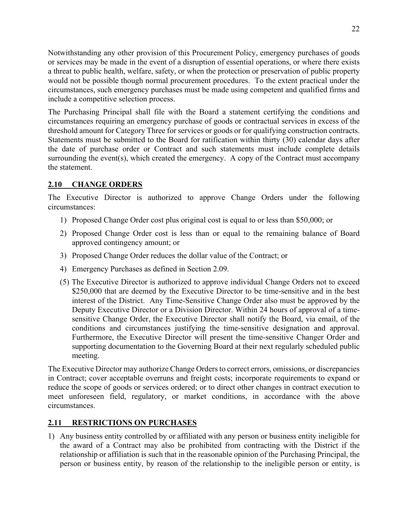Notwithstanding any other provision of this Procurement Policy, emergency purchases of goods or services may be made in the event of a disruption of essential operations, or where there exists a threat to public health, welfare, safety, or when the protection or preservation of public property would not be possible though normal procurement procedures. To the extent practical under the circumstances, such emergency purchases must be made using competent and qualified firms and include a competitive selection process.

The Purchasing Principal shall file with the Board a statement certifying the conditions and circumstances requiring an emergency purchase of goods or contractual services in excess of the threshold amount for Category Three for services or goods or for qualifying construction contracts. Statements must be submitted to the Board for ratification within thirty (30) calendar days after the date of purchase order or Contract and such statements must include complete details surrounding the event(s), which created the emergency. A copy of the Contract must accompany the statement.

## **2.10 CHANGE ORDERS**

The Executive Director is authorized to approve Change Orders under the following circumstances:

- 1) Proposed Change Order cost plus original cost is equal to or less than \$50,000; or
- 2) Proposed Change Order cost is less than or equal to the remaining balance of Board approved contingency amount; or
- 3) Proposed Change Order reduces the dollar value of the Contract; or
- 4) Emergency Purchases as defined in Section 2.09.
- (5) The Executive Director is authorized to approve individual Change Orders not to exceed \$250,000 that are deemed by the Executive Director to be time-sensitive and in the best interest of the District. Any Time-Sensitive Change Order also must be approved by the Deputy Executive Director or a Division Director. Within 24 hours of approval of a timesensitive Change Order, the Executive Director shall notify the Board, via email, of the conditions and circumstances justifying the time-sensitive designation and approval. Furthermore, the Executive Director will present the time-sensitive Changer Order and supporting documentation to the Governing Board at their next regularly scheduled public meeting.

The Executive Director may authorize Change Orders to correct errors, omissions, or discrepancies in Contract; cover acceptable overruns and freight costs; incorporate requirements to expand or reduce the scope of goods or services ordered; or to direct other changes in contract execution to meet unforeseen field, regulatory, or market conditions, in accordance with the above circumstances.

## **2.11 RESTRICTIONS ON PURCHASES**

1) Any business entity controlled by or affiliated with any person or business entity ineligible for the award of a Contract may also be prohibited from contracting with the District if the relationship or affiliation is such that in the reasonable opinion of the Purchasing Principal, the person or business entity, by reason of the relationship to the ineligible person or entity, is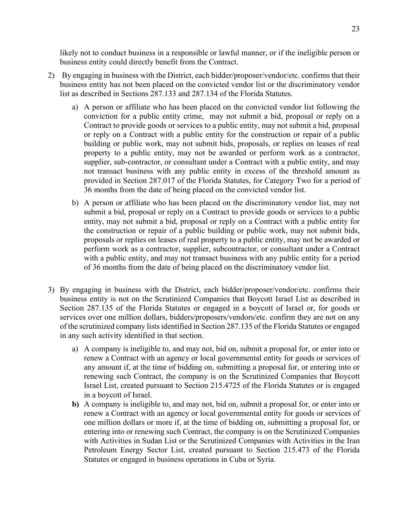likely not to conduct business in a responsible or lawful manner, or if the ineligible person or business entity could directly benefit from the Contract.

- 2) By engaging in business with the District, each bidder/proposer/vendor/etc. confirms that their business entity has not been placed on the convicted vendor list or the discriminatory vendor list as described in Sections 287.133 and 287.134 of the Florida Statutes.
	- a) A person or affiliate who has been placed on the convicted vendor list following the conviction for a public entity crime, may not submit a bid, proposal or reply on a Contract to provide goods or services to a public entity, may not submit a bid, proposal or reply on a Contract with a public entity for the construction or repair of a public building or public work, may not submit bids, proposals, or replies on leases of real property to a public entity, may not be awarded or perform work as a contractor, supplier, sub-contractor, or consultant under a Contract with a public entity, and may not transact business with any public entity in excess of the threshold amount as provided in Section 287.017 of the Florida Statutes, for Category Two for a period of 36 months from the date of being placed on the convicted vendor list.
	- b) A person or affiliate who has been placed on the discriminatory vendor list, may not submit a bid, proposal or reply on a Contract to provide goods or services to a public entity, may not submit a bid, proposal or reply on a Contract with a public entity for the construction or repair of a public building or public work, may not submit bids, proposals or replies on leases of real property to a public entity, may not be awarded or perform work as a contractor, supplier, subcontractor, or consultant under a Contract with a public entity, and may not transact business with any public entity for a period of 36 months from the date of being placed on the discriminatory vendor list.
- 3) By engaging in business with the District, each bidder/proposer/vendor/etc. confirms their business entity is not on the Scrutinized Companies that Boycott Israel List as described in Section 287.135 of the Florida Statutes or engaged in a boycott of Israel or, for goods or services over one million dollars, bidders/proposers/vendors/etc. confirm they are not on any of the scrutinized company lists identified in Section 287.135 of the Florida Statutes or engaged in any such activity identified in that section.
	- a) A company is ineligible to, and may not, bid on, submit a proposal for, or enter into or renew a Contract with an agency or local governmental entity for goods or services of any amount if, at the time of bidding on, submitting a proposal for, or entering into or renewing such Contract, the company is on the Scrutinized Companies that Boycott Israel List, created pursuant to Section 215.4725 of the Florida Statutes or is engaged in a boycott of Israel.
	- **b)** A company is ineligible to, and may not, bid on, submit a proposal for, or enter into or renew a Contract with an agency or local governmental entity for goods or services of one million dollars or more if, at the time of bidding on, submitting a proposal for, or entering into or renewing such Contract, the company is on the Scrutinized Companies with Activities in Sudan List or the Scrutinized Companies with Activities in the Iran Petroleum Energy Sector List, created pursuant to Section 215.473 of the Florida Statutes or engaged in business operations in Cuba or Syria.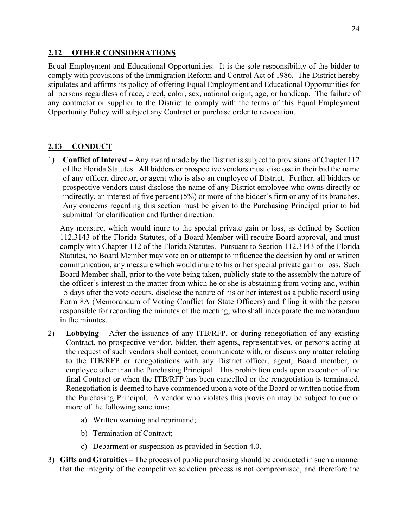### **2.12 OTHER CONSIDERATIONS**

Equal Employment and Educational Opportunities: It is the sole responsibility of the bidder to comply with provisions of the Immigration Reform and Control Act of 1986. The District hereby stipulates and affirms its policy of offering Equal Employment and Educational Opportunities for all persons regardless of race, creed, color, sex, national origin, age, or handicap. The failure of any contractor or supplier to the District to comply with the terms of this Equal Employment Opportunity Policy will subject any Contract or purchase order to revocation.

## **2.13 CONDUCT**

1) **Conflict of Interest** – Any award made by the District is subject to provisions of Chapter 112 of the Florida Statutes. All bidders or prospective vendors must disclose in their bid the name of any officer, director, or agent who is also an employee of District. Further, all bidders or prospective vendors must disclose the name of any District employee who owns directly or indirectly, an interest of five percent (5%) or more of the bidder's firm or any of its branches. Any concerns regarding this section must be given to the Purchasing Principal prior to bid submittal for clarification and further direction.

Any measure, which would inure to the special private gain or loss, as defined by Section 112.3143 of the Florida Statutes, of a Board Member will require Board approval, and must comply with Chapter 112 of the Florida Statutes. Pursuant to Section 112.3143 of the Florida Statutes, no Board Member may vote on or attempt to influence the decision by oral or written communication, any measure which would inure to his or her special private gain or loss. Such Board Member shall, prior to the vote being taken, publicly state to the assembly the nature of the officer's interest in the matter from which he or she is abstaining from voting and, within 15 days after the vote occurs, disclose the nature of his or her interest as a public record using Form 8A (Memorandum of Voting Conflict for State Officers) and filing it with the person responsible for recording the minutes of the meeting, who shall incorporate the memorandum in the minutes.

- 2) **Lobbying** After the issuance of any ITB/RFP, or during renegotiation of any existing Contract, no prospective vendor, bidder, their agents, representatives, or persons acting at the request of such vendors shall contact, communicate with, or discuss any matter relating to the ITB/RFP or renegotiations with any District officer, agent, Board member, or employee other than the Purchasing Principal. This prohibition ends upon execution of the final Contract or when the ITB/RFP has been cancelled or the renegotiation is terminated. Renegotiation is deemed to have commenced upon a vote of the Board or written notice from the Purchasing Principal. A vendor who violates this provision may be subject to one or more of the following sanctions:
	- a) Written warning and reprimand;
	- b) Termination of Contract;
	- c) Debarment or suspension as provided in Section 4.0.
- 3) **Gifts and Gratuities** The process of public purchasing should be conducted in such a manner that the integrity of the competitive selection process is not compromised, and therefore the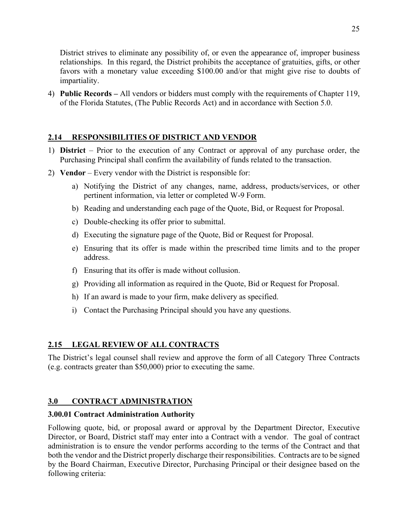District strives to eliminate any possibility of, or even the appearance of, improper business relationships. In this regard, the District prohibits the acceptance of gratuities, gifts, or other favors with a monetary value exceeding \$100.00 and/or that might give rise to doubts of impartiality.

4) **Public Records –** All vendors or bidders must comply with the requirements of Chapter 119, of the Florida Statutes, (The Public Records Act) and in accordance with Section 5.0.

## **2.14 RESPONSIBILITIES OF DISTRICT AND VENDOR**

- 1) **District** Prior to the execution of any Contract or approval of any purchase order, the Purchasing Principal shall confirm the availability of funds related to the transaction.
- 2) **Vendor** Every vendor with the District is responsible for:
	- a) Notifying the District of any changes, name, address, products/services, or other pertinent information, via letter or completed W-9 Form.
	- b) Reading and understanding each page of the Quote, Bid, or Request for Proposal.
	- c) Double-checking its offer prior to submittal.
	- d) Executing the signature page of the Quote, Bid or Request for Proposal.
	- e) Ensuring that its offer is made within the prescribed time limits and to the proper address.
	- f) Ensuring that its offer is made without collusion.
	- g) Providing all information as required in the Quote, Bid or Request for Proposal.
	- h) If an award is made to your firm, make delivery as specified.
	- i) Contact the Purchasing Principal should you have any questions.

## **2.15 LEGAL REVIEW OF ALL CONTRACTS**

The District's legal counsel shall review and approve the form of all Category Three Contracts (e.g. contracts greater than \$50,000) prior to executing the same.

## **3.0 CONTRACT ADMINISTRATION**

## **3.00.01 Contract Administration Authority**

Following quote, bid, or proposal award or approval by the Department Director, Executive Director, or Board, District staff may enter into a Contract with a vendor. The goal of contract administration is to ensure the vendor performs according to the terms of the Contract and that both the vendor and the District properly discharge their responsibilities. Contracts are to be signed by the Board Chairman, Executive Director, Purchasing Principal or their designee based on the following criteria: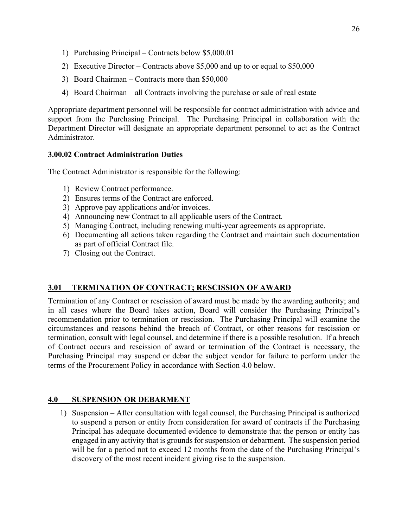- 1) Purchasing Principal Contracts below \$5,000.01
- 2) Executive Director Contracts above \$5,000 and up to or equal to \$50,000
- 3) Board Chairman Contracts more than \$50,000
- 4) Board Chairman all Contracts involving the purchase or sale of real estate

Appropriate department personnel will be responsible for contract administration with advice and support from the Purchasing Principal. The Purchasing Principal in collaboration with the Department Director will designate an appropriate department personnel to act as the Contract Administrator.

### **3.00.02 Contract Administration Duties**

The Contract Administrator is responsible for the following:

- 1) Review Contract performance.
- 2) Ensures terms of the Contract are enforced.
- 3) Approve pay applications and/or invoices.
- 4) Announcing new Contract to all applicable users of the Contract.
- 5) Managing Contract, including renewing multi-year agreements as appropriate.
- 6) Documenting all actions taken regarding the Contract and maintain such documentation as part of official Contract file.
- 7) Closing out the Contract.

## **3.01 TERMINATION OF CONTRACT; RESCISSION OF AWARD**

Termination of any Contract or rescission of award must be made by the awarding authority; and in all cases where the Board takes action, Board will consider the Purchasing Principal's recommendation prior to termination or rescission. The Purchasing Principal will examine the circumstances and reasons behind the breach of Contract, or other reasons for rescission or termination, consult with legal counsel, and determine if there is a possible resolution. If a breach of Contract occurs and rescission of award or termination of the Contract is necessary, the Purchasing Principal may suspend or debar the subject vendor for failure to perform under the terms of the Procurement Policy in accordance with Section 4.0 below.

#### **4.0 SUSPENSION OR DEBARMENT**

1) Suspension – After consultation with legal counsel, the Purchasing Principal is authorized to suspend a person or entity from consideration for award of contracts if the Purchasing Principal has adequate documented evidence to demonstrate that the person or entity has engaged in any activity that is grounds for suspension or debarment. The suspension period will be for a period not to exceed 12 months from the date of the Purchasing Principal's discovery of the most recent incident giving rise to the suspension.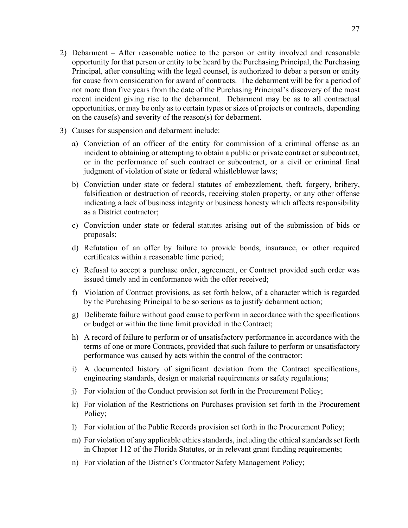- 2) Debarment After reasonable notice to the person or entity involved and reasonable opportunity for that person or entity to be heard by the Purchasing Principal, the Purchasing Principal, after consulting with the legal counsel, is authorized to debar a person or entity for cause from consideration for award of contracts. The debarment will be for a period of not more than five years from the date of the Purchasing Principal's discovery of the most recent incident giving rise to the debarment. Debarment may be as to all contractual opportunities, or may be only as to certain types or sizes of projects or contracts, depending on the cause(s) and severity of the reason(s) for debarment.
- 3) Causes for suspension and debarment include:
	- a) Conviction of an officer of the entity for commission of a criminal offense as an incident to obtaining or attempting to obtain a public or private contract or subcontract, or in the performance of such contract or subcontract, or a civil or criminal final judgment of violation of state or federal whistleblower laws;
	- b) Conviction under state or federal statutes of embezzlement, theft, forgery, bribery, falsification or destruction of records, receiving stolen property, or any other offense indicating a lack of business integrity or business honesty which affects responsibility as a District contractor;
	- c) Conviction under state or federal statutes arising out of the submission of bids or proposals;
	- d) Refutation of an offer by failure to provide bonds, insurance, or other required certificates within a reasonable time period;
	- e) Refusal to accept a purchase order, agreement, or Contract provided such order was issued timely and in conformance with the offer received;
	- f) Violation of Contract provisions, as set forth below, of a character which is regarded by the Purchasing Principal to be so serious as to justify debarment action;
	- g) Deliberate failure without good cause to perform in accordance with the specifications or budget or within the time limit provided in the Contract;
	- h) A record of failure to perform or of unsatisfactory performance in accordance with the terms of one or more Contracts, provided that such failure to perform or unsatisfactory performance was caused by acts within the control of the contractor;
	- i) A documented history of significant deviation from the Contract specifications, engineering standards, design or material requirements or safety regulations;
	- j) For violation of the Conduct provision set forth in the Procurement Policy;
	- k) For violation of the Restrictions on Purchases provision set forth in the Procurement Policy;
	- l) For violation of the Public Records provision set forth in the Procurement Policy;
	- m) For violation of any applicable ethics standards, including the ethical standards set forth in Chapter 112 of the Florida Statutes, or in relevant grant funding requirements;
	- n) For violation of the District's Contractor Safety Management Policy;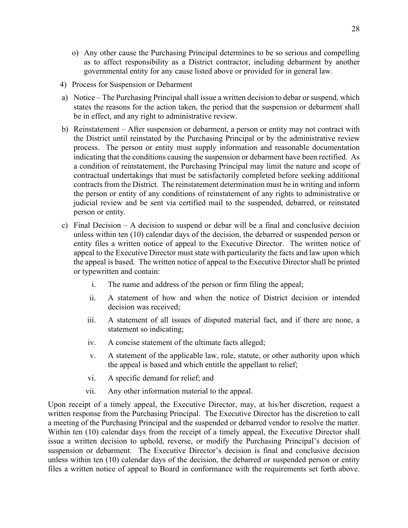- o) Any other cause the Purchasing Principal determines to be so serious and compelling as to affect responsibility as a District contractor, including debarment by another governmental entity for any cause listed above or provided for in general law.
- 4) Process for Suspension or Debarment
- a) Notice The Purchasing Principal shall issue a written decision to debar or suspend, which states the reasons for the action taken, the period that the suspension or debarment shall be in effect, and any right to administrative review.
- b) Reinstatement After suspension or debarment, a person or entity may not contract with the District until reinstated by the Purchasing Principal or by the administrative review process. The person or entity must supply information and reasonable documentation indicating that the conditions causing the suspension or debarment have been rectified. As a condition of reinstatement, the Purchasing Principal may limit the nature and scope of contractual undertakings that must be satisfactorily completed before seeking additional contracts from the District. The reinstatement determination must be in writing and inform the person or entity of any conditions of reinstatement of any rights to administrative or judicial review and be sent via certified mail to the suspended, debarred, or reinstated person or entity.
- c) Final Decision A decision to suspend or debar will be a final and conclusive decision unless within ten (10) calendar days of the decision, the debarred or suspended person or entity files a written notice of appeal to the Executive Director. The written notice of appeal to the Executive Director must state with particularity the facts and law upon which the appeal is based. The written notice of appeal to the Executive Director shall be printed or typewritten and contain:
	- i. The name and address of the person or firm filing the appeal;
	- ii. A statement of how and when the notice of District decision or intended decision was received;
	- iii. A statement of all issues of disputed material fact, and if there are none, a statement so indicating;
	- iv. A concise statement of the ultimate facts alleged;
	- v. A statement of the applicable law, rule, statute, or other authority upon which the appeal is based and which entitle the appellant to relief;
	- vi. A specific demand for relief; and
	- vii. Any other information material to the appeal.

Upon receipt of a timely appeal, the Executive Director, may, at his/her discretion, request a written response from the Purchasing Principal. The Executive Director has the discretion to call a meeting of the Purchasing Principal and the suspended or debarred vendor to resolve the matter. Within ten (10) calendar days from the receipt of a timely appeal, the Executive Director shall issue a written decision to uphold, reverse, or modify the Purchasing Principal's decision of suspension or debarment. The Executive Director's decision is final and conclusive decision unless within ten (10) calendar days of the decision, the debarred or suspended person or entity files a written notice of appeal to Board in conformance with the requirements set forth above.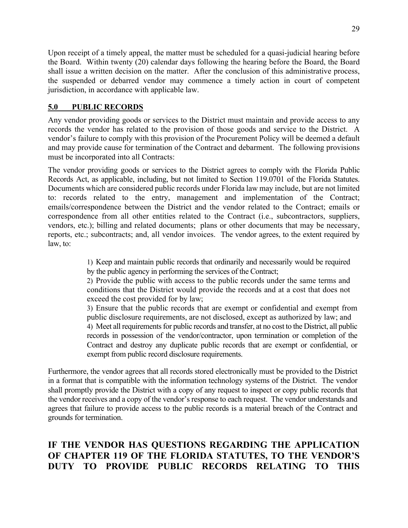Upon receipt of a timely appeal, the matter must be scheduled for a quasi-judicial hearing before the Board. Within twenty (20) calendar days following the hearing before the Board, the Board shall issue a written decision on the matter. After the conclusion of this administrative process, the suspended or debarred vendor may commence a timely action in court of competent jurisdiction, in accordance with applicable law.

## **5.0 PUBLIC RECORDS**

Any vendor providing goods or services to the District must maintain and provide access to any records the vendor has related to the provision of those goods and service to the District. A vendor's failure to comply with this provision of the Procurement Policy will be deemed a default and may provide cause for termination of the Contract and debarment. The following provisions must be incorporated into all Contracts:

The vendor providing goods or services to the District agrees to comply with the Florida Public Records Act, as applicable, including, but not limited to Section 119.0701 of the Florida Statutes. Documents which are considered public records under Florida law may include, but are not limited to: records related to the entry, management and implementation of the Contract; emails/correspondence between the District and the vendor related to the Contract; emails or correspondence from all other entities related to the Contract (i.e., subcontractors, suppliers, vendors, etc.); billing and related documents; plans or other documents that may be necessary, reports, etc.; subcontracts; and, all vendor invoices. The vendor agrees, to the extent required by law, to:

> 1) Keep and maintain public records that ordinarily and necessarily would be required by the public agency in performing the services of the Contract;

> 2) Provide the public with access to the public records under the same terms and conditions that the District would provide the records and at a cost that does not exceed the cost provided for by law;

3) Ensure that the public records that are exempt or confidential and exempt from public disclosure requirements, are not disclosed, except as authorized by law; and 4) Meet all requirements for public records and transfer, at no cost to the District, all public records in possession of the vendor/contractor, upon termination or completion of the Contract and destroy any duplicate public records that are exempt or confidential, or exempt from public record disclosure requirements.

Furthermore, the vendor agrees that all records stored electronically must be provided to the District in a format that is compatible with the information technology systems of the District. The vendor shall promptly provide the District with a copy of any request to inspect or copy public records that the vendor receives and a copy of the vendor's response to each request. The vendor understands and agrees that failure to provide access to the public records is a material breach of the Contract and grounds for termination.

# **IF THE VENDOR HAS QUESTIONS REGARDING THE APPLICATION OF CHAPTER 119 OF THE FLORIDA STATUTES, TO THE VENDOR'S DUTY TO PROVIDE PUBLIC RECORDS RELATING TO THIS**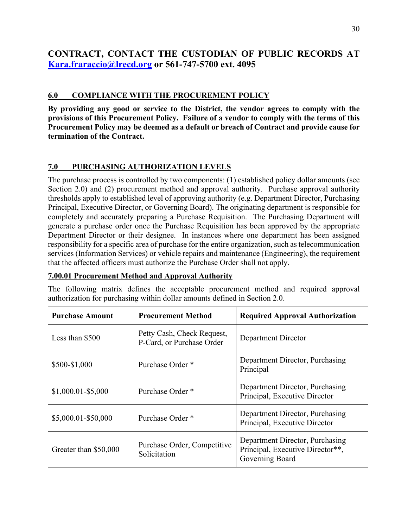# **CONTRACT, CONTACT THE CUSTODIAN OF PUBLIC RECORDS AT Kara.fraraccio@lrecd.org or 561-747-5700 ext. 4095**

## **6.0 COMPLIANCE WITH THE PROCUREMENT POLICY**

**By providing any good or service to the District, the vendor agrees to comply with the provisions of this Procurement Policy. Failure of a vendor to comply with the terms of this Procurement Policy may be deemed as a default or breach of Contract and provide cause for termination of the Contract.** 

## **7.0 PURCHASING AUTHORIZATION LEVELS**

The purchase process is controlled by two components: (1) established policy dollar amounts (see Section 2.0) and (2) procurement method and approval authority. Purchase approval authority thresholds apply to established level of approving authority (e.g. Department Director, Purchasing Principal, Executive Director, or Governing Board). The originating department is responsible for completely and accurately preparing a Purchase Requisition. The Purchasing Department will generate a purchase order once the Purchase Requisition has been approved by the appropriate Department Director or their designee. In instances where one department has been assigned responsibility for a specific area of purchase for the entire organization, such as telecommunication services (Information Services) or vehicle repairs and maintenance (Engineering), the requirement that the affected officers must authorize the Purchase Order shall not apply.

## **7.00.01 Procurement Method and Approval Authority**

The following matrix defines the acceptable procurement method and required approval authorization for purchasing within dollar amounts defined in Section 2.0.

| <b>Purchase Amount</b> | <b>Procurement Method</b>                               | <b>Required Approval Authorization</b>                                                 |
|------------------------|---------------------------------------------------------|----------------------------------------------------------------------------------------|
| Less than \$500        | Petty Cash, Check Request,<br>P-Card, or Purchase Order | Department Director                                                                    |
| \$500-\$1,000          | Purchase Order *                                        | Department Director, Purchasing<br>Principal                                           |
| $$1,000.01 - $5,000$   | Purchase Order <sup>*</sup>                             | Department Director, Purchasing<br>Principal, Executive Director                       |
| \$5,000.01-\$50,000    | Purchase Order *                                        | Department Director, Purchasing<br>Principal, Executive Director                       |
| Greater than \$50,000  | Purchase Order, Competitive<br>Solicitation             | Department Director, Purchasing<br>Principal, Executive Director**,<br>Governing Board |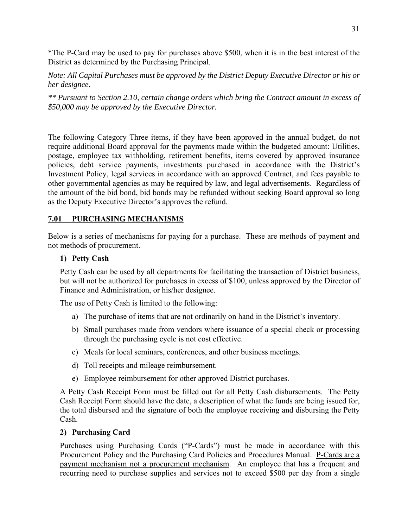\*The P-Card may be used to pay for purchases above \$500, when it is in the best interest of the District as determined by the Purchasing Principal.

*Note: All Capital Purchases must be approved by the District Deputy Executive Director or his or her designee.* 

*\*\* Pursuant to Section 2.10, certain change orders which bring the Contract amount in excess of \$50,000 may be approved by the Executive Director.* 

The following Category Three items, if they have been approved in the annual budget, do not require additional Board approval for the payments made within the budgeted amount: Utilities, postage, employee tax withholding, retirement benefits, items covered by approved insurance policies, debt service payments, investments purchased in accordance with the District's Investment Policy, legal services in accordance with an approved Contract, and fees payable to other governmental agencies as may be required by law, and legal advertisements. Regardless of the amount of the bid bond, bid bonds may be refunded without seeking Board approval so long as the Deputy Executive Director's approves the refund.

#### **7.01 PURCHASING MECHANISMS**

Below is a series of mechanisms for paying for a purchase. These are methods of payment and not methods of procurement.

#### **1) Petty Cash**

Petty Cash can be used by all departments for facilitating the transaction of District business, but will not be authorized for purchases in excess of \$100, unless approved by the Director of Finance and Administration, or his/her designee.

The use of Petty Cash is limited to the following:

- a) The purchase of items that are not ordinarily on hand in the District's inventory.
- b) Small purchases made from vendors where issuance of a special check or processing through the purchasing cycle is not cost effective.
- c) Meals for local seminars, conferences, and other business meetings.
- d) Toll receipts and mileage reimbursement.
- e) Employee reimbursement for other approved District purchases.

A Petty Cash Receipt Form must be filled out for all Petty Cash disbursements. The Petty Cash Receipt Form should have the date, a description of what the funds are being issued for, the total disbursed and the signature of both the employee receiving and disbursing the Petty Cash.

#### **2) Purchasing Card**

Purchases using Purchasing Cards ("P-Cards") must be made in accordance with this Procurement Policy and the Purchasing Card Policies and Procedures Manual. P-Cards are a payment mechanism not a procurement mechanism. An employee that has a frequent and recurring need to purchase supplies and services not to exceed \$500 per day from a single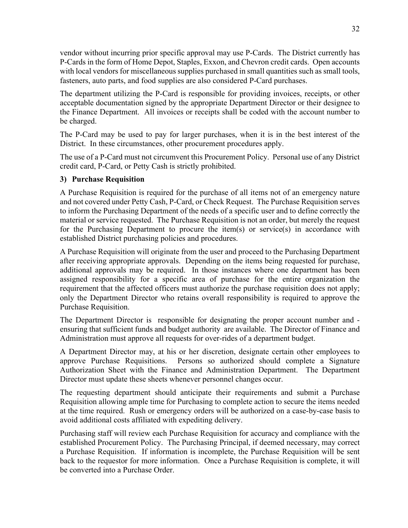vendor without incurring prior specific approval may use P-Cards. The District currently has P-Cards in the form of Home Depot, Staples, Exxon, and Chevron credit cards. Open accounts with local vendors for miscellaneous supplies purchased in small quantities such as small tools, fasteners, auto parts, and food supplies are also considered P-Card purchases.

The department utilizing the P-Card is responsible for providing invoices, receipts, or other acceptable documentation signed by the appropriate Department Director or their designee to the Finance Department. All invoices or receipts shall be coded with the account number to be charged.

The P-Card may be used to pay for larger purchases, when it is in the best interest of the District. In these circumstances, other procurement procedures apply.

The use of a P-Card must not circumvent this Procurement Policy. Personal use of any District credit card, P-Card, or Petty Cash is strictly prohibited.

## **3) Purchase Requisition**

A Purchase Requisition is required for the purchase of all items not of an emergency nature and not covered under Petty Cash, P-Card, or Check Request. The Purchase Requisition serves to inform the Purchasing Department of the needs of a specific user and to define correctly the material or service requested. The Purchase Requisition is not an order, but merely the request for the Purchasing Department to procure the item(s) or service(s) in accordance with established District purchasing policies and procedures.

A Purchase Requisition will originate from the user and proceed to the Purchasing Department after receiving appropriate approvals. Depending on the items being requested for purchase, additional approvals may be required. In those instances where one department has been assigned responsibility for a specific area of purchase for the entire organization the requirement that the affected officers must authorize the purchase requisition does not apply; only the Department Director who retains overall responsibility is required to approve the Purchase Requisition.

The Department Director is responsible for designating the proper account number and ensuring that sufficient funds and budget authority are available. The Director of Finance and Administration must approve all requests for over-rides of a department budget.

A Department Director may, at his or her discretion, designate certain other employees to approve Purchase Requisitions. Persons so authorized should complete a Signature Authorization Sheet with the Finance and Administration Department. The Department Director must update these sheets whenever personnel changes occur.

The requesting department should anticipate their requirements and submit a Purchase Requisition allowing ample time for Purchasing to complete action to secure the items needed at the time required. Rush or emergency orders will be authorized on a case-by-case basis to avoid additional costs affiliated with expediting delivery.

Purchasing staff will review each Purchase Requisition for accuracy and compliance with the established Procurement Policy. The Purchasing Principal, if deemed necessary, may correct a Purchase Requisition. If information is incomplete, the Purchase Requisition will be sent back to the requestor for more information. Once a Purchase Requisition is complete, it will be converted into a Purchase Order.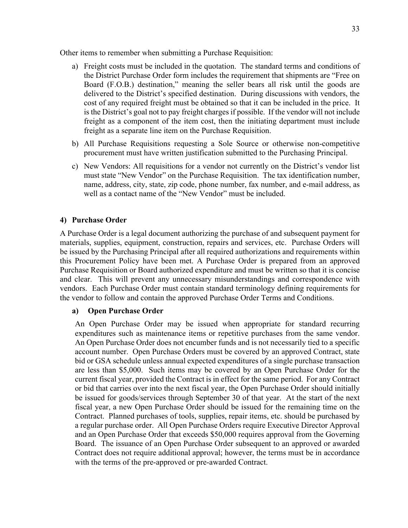Other items to remember when submitting a Purchase Requisition:

- a) Freight costs must be included in the quotation. The standard terms and conditions of the District Purchase Order form includes the requirement that shipments are "Free on Board (F.O.B.) destination," meaning the seller bears all risk until the goods are delivered to the District's specified destination. During discussions with vendors, the cost of any required freight must be obtained so that it can be included in the price. It is the District's goal not to pay freight charges if possible. If the vendor will not include freight as a component of the item cost, then the initiating department must include freight as a separate line item on the Purchase Requisition.
- b) All Purchase Requisitions requesting a Sole Source or otherwise non-competitive procurement must have written justification submitted to the Purchasing Principal.
- c) New Vendors: All requisitions for a vendor not currently on the District's vendor list must state "New Vendor" on the Purchase Requisition. The tax identification number, name, address, city, state, zip code, phone number, fax number, and e-mail address, as well as a contact name of the "New Vendor" must be included.

## **4) Purchase Order**

A Purchase Order is a legal document authorizing the purchase of and subsequent payment for materials, supplies, equipment, construction, repairs and services, etc. Purchase Orders will be issued by the Purchasing Principal after all required authorizations and requirements within this Procurement Policy have been met. A Purchase Order is prepared from an approved Purchase Requisition or Board authorized expenditure and must be written so that it is concise and clear. This will prevent any unnecessary misunderstandings and correspondence with vendors. Each Purchase Order must contain standard terminology defining requirements for the vendor to follow and contain the approved Purchase Order Terms and Conditions.

#### **a) Open Purchase Order**

An Open Purchase Order may be issued when appropriate for standard recurring expenditures such as maintenance items or repetitive purchases from the same vendor. An Open Purchase Order does not encumber funds and is not necessarily tied to a specific account number. Open Purchase Orders must be covered by an approved Contract, state bid or GSA schedule unless annual expected expenditures of a single purchase transaction are less than \$5,000. Such items may be covered by an Open Purchase Order for the current fiscal year, provided the Contract is in effect for the same period. For any Contract or bid that carries over into the next fiscal year, the Open Purchase Order should initially be issued for goods/services through September 30 of that year. At the start of the next fiscal year, a new Open Purchase Order should be issued for the remaining time on the Contract. Planned purchases of tools, supplies, repair items, etc. should be purchased by a regular purchase order. All Open Purchase Orders require Executive Director Approval and an Open Purchase Order that exceeds \$50,000 requires approval from the Governing Board. The issuance of an Open Purchase Order subsequent to an approved or awarded Contract does not require additional approval; however, the terms must be in accordance with the terms of the pre-approved or pre-awarded Contract.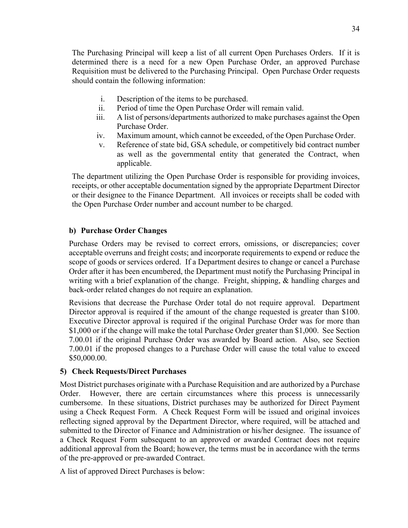The Purchasing Principal will keep a list of all current Open Purchases Orders. If it is determined there is a need for a new Open Purchase Order, an approved Purchase Requisition must be delivered to the Purchasing Principal. Open Purchase Order requests should contain the following information:

- i. Description of the items to be purchased.
- ii. Period of time the Open Purchase Order will remain valid.
- iii. A list of persons/departments authorized to make purchases against the Open Purchase Order.
- iv. Maximum amount, which cannot be exceeded, of the Open Purchase Order.
- v. Reference of state bid, GSA schedule, or competitively bid contract number as well as the governmental entity that generated the Contract, when applicable.

The department utilizing the Open Purchase Order is responsible for providing invoices, receipts, or other acceptable documentation signed by the appropriate Department Director or their designee to the Finance Department. All invoices or receipts shall be coded with the Open Purchase Order number and account number to be charged.

#### **b) Purchase Order Changes**

Purchase Orders may be revised to correct errors, omissions, or discrepancies; cover acceptable overruns and freight costs; and incorporate requirements to expend or reduce the scope of goods or services ordered. If a Department desires to change or cancel a Purchase Order after it has been encumbered, the Department must notify the Purchasing Principal in writing with a brief explanation of the change. Freight, shipping, & handling charges and back-order related changes do not require an explanation.

Revisions that decrease the Purchase Order total do not require approval. Department Director approval is required if the amount of the change requested is greater than \$100. Executive Director approval is required if the original Purchase Order was for more than \$1,000 or if the change will make the total Purchase Order greater than \$1,000. See Section 7.00.01 if the original Purchase Order was awarded by Board action. Also, see Section 7.00.01 if the proposed changes to a Purchase Order will cause the total value to exceed \$50,000.00.

## **5) Check Requests/Direct Purchases**

Most District purchases originate with a Purchase Requisition and are authorized by a Purchase Order. However, there are certain circumstances where this process is unnecessarily cumbersome. In these situations, District purchases may be authorized for Direct Payment using a Check Request Form. A Check Request Form will be issued and original invoices reflecting signed approval by the Department Director, where required, will be attached and submitted to the Director of Finance and Administration or his/her designee. The issuance of a Check Request Form subsequent to an approved or awarded Contract does not require additional approval from the Board; however, the terms must be in accordance with the terms of the pre-approved or pre-awarded Contract.

A list of approved Direct Purchases is below: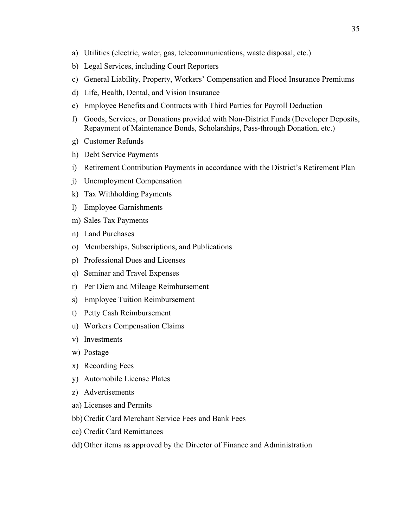- a) Utilities (electric, water, gas, telecommunications, waste disposal, etc.)
- b) Legal Services, including Court Reporters
- c) General Liability, Property, Workers' Compensation and Flood Insurance Premiums
- d) Life, Health, Dental, and Vision Insurance
- e) Employee Benefits and Contracts with Third Parties for Payroll Deduction
- f) Goods, Services, or Donations provided with Non-District Funds (Developer Deposits, Repayment of Maintenance Bonds, Scholarships, Pass-through Donation, etc.)
- g) Customer Refunds
- h) Debt Service Payments
- i) Retirement Contribution Payments in accordance with the District's Retirement Plan
- j) Unemployment Compensation
- k) Tax Withholding Payments
- l) Employee Garnishments
- m) Sales Tax Payments
- n) Land Purchases
- o) Memberships, Subscriptions, and Publications
- p) Professional Dues and Licenses
- q) Seminar and Travel Expenses
- r) Per Diem and Mileage Reimbursement
- s) Employee Tuition Reimbursement
- t) Petty Cash Reimbursement
- u) Workers Compensation Claims
- v) Investments
- w) Postage
- x) Recording Fees
- y) Automobile License Plates
- z) Advertisements
- aa) Licenses and Permits
- bb) Credit Card Merchant Service Fees and Bank Fees
- cc) Credit Card Remittances
- dd) Other items as approved by the Director of Finance and Administration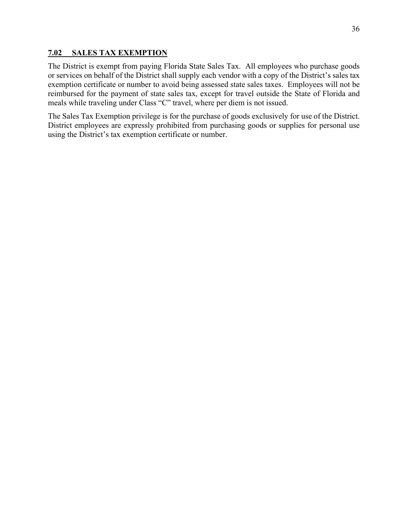### **7.02 SALES TAX EXEMPTION**

The District is exempt from paying Florida State Sales Tax. All employees who purchase goods or services on behalf of the District shall supply each vendor with a copy of the District's sales tax exemption certificate or number to avoid being assessed state sales taxes. Employees will not be reimbursed for the payment of state sales tax, except for travel outside the State of Florida and meals while traveling under Class "C" travel, where per diem is not issued.

The Sales Tax Exemption privilege is for the purchase of goods exclusively for use of the District. District employees are expressly prohibited from purchasing goods or supplies for personal use using the District's tax exemption certificate or number.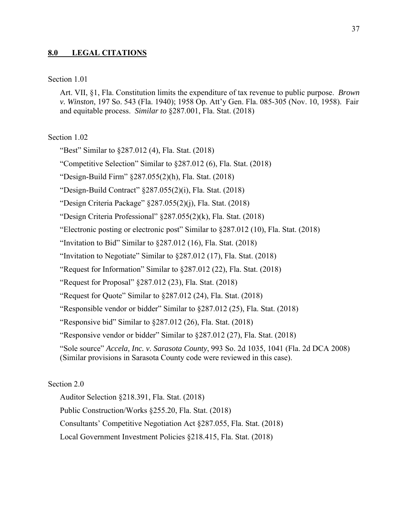#### **8.0 LEGAL CITATIONS**

#### Section 1.01

Art. VII, §1, Fla. Constitution limits the expenditure of tax revenue to public purpose. *Brown v. Winston*, 197 So. 543 (Fla. 1940); 1958 Op. Att'y Gen. Fla. 085-305 (Nov. 10, 1958). Fair and equitable process. *Similar to* §287.001, Fla. Stat. (2018)

#### Section 1.02

"Best" Similar to §287.012 (4), Fla. Stat. (2018)

"Competitive Selection" Similar to §287.012 (6), Fla. Stat. (2018)

"Design-Build Firm" §287.055(2)(h), Fla. Stat. (2018)

"Design-Build Contract" §287.055(2)(i), Fla. Stat. (2018)

"Design Criteria Package" §287.055(2)(j), Fla. Stat. (2018)

"Design Criteria Professional" §287.055(2)(k), Fla. Stat. (2018)

"Electronic posting or electronic post" Similar to §287.012 (10), Fla. Stat. (2018)

"Invitation to Bid" Similar to  $$287.012(16)$ , Fla. Stat. (2018)

"Invitation to Negotiate" Similar to §287.012 (17), Fla. Stat. (2018)

"Request for Information" Similar to §287.012 (22), Fla. Stat. (2018)

"Request for Proposal" §287.012 (23), Fla. Stat. (2018)

"Request for Quote" Similar to §287.012 (24), Fla. Stat. (2018)

"Responsible vendor or bidder" Similar to §287.012 (25), Fla. Stat. (2018)

"Responsive bid" Similar to §287.012 (26), Fla. Stat. (2018)

"Responsive vendor or bidder" Similar to §287.012 (27), Fla. Stat. (2018)

"Sole source" *Accela, Inc. v. Sarasota County*, 993 So. 2d 1035, 1041 (Fla. 2d DCA 2008) (Similar provisions in Sarasota County code were reviewed in this case).

#### Section 2.0

Auditor Selection §218.391, Fla. Stat. (2018) Public Construction/Works §255.20, Fla. Stat. (2018) Consultants' Competitive Negotiation Act §287.055, Fla. Stat. (2018) Local Government Investment Policies §218.415, Fla. Stat. (2018)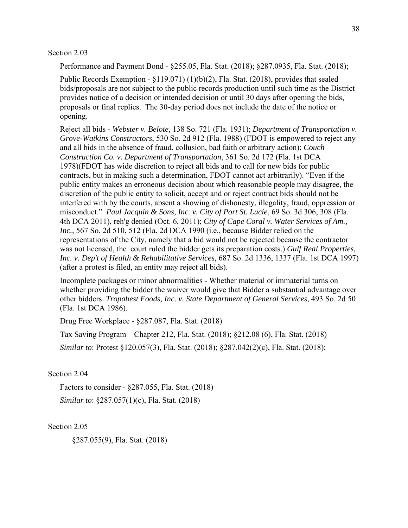Section 2.03

Performance and Payment Bond - §255.05, Fla. Stat. (2018); §287.0935, Fla. Stat. (2018);

Public Records Exemption - §119.071) (1)(b)(2), Fla. Stat. (2018), provides that sealed bids/proposals are not subject to the public records production until such time as the District provides notice of a decision or intended decision or until 30 days after opening the bids, proposals or final replies. The 30-day period does not include the date of the notice or opening.

Reject all bids - *Webster v. Belote*, 138 So. 721 (Fla. 1931); *Department of Transportation v. Grove-Watkins Constructors*, 530 So. 2d 912 (Fla. 1988) (FDOT is empowered to reject any and all bids in the absence of fraud, collusion, bad faith or arbitrary action); *Couch Construction Co. v. Department of Transportation*, 361 So. 2d 172 (Fla. 1st DCA 1978)(FDOT has wide discretion to reject all bids and to call for new bids for public contracts, but in making such a determination, FDOT cannot act arbitrarily). "Even if the public entity makes an erroneous decision about which reasonable people may disagree, the discretion of the public entity to solicit, accept and or reject contract bids should not be interfered with by the courts, absent a showing of dishonesty, illegality, fraud, oppression or misconduct." *Paul Jacquin & Sons, Inc. v. City of Port St. Lucie*, 69 So. 3d 306, 308 (Fla. 4th DCA 2011), reh'g denied (Oct. 6, 2011); *City of Cape Coral v. Water Services of Am., Inc.,* 567 So. 2d 510, 512 (Fla. 2d DCA 1990 (i.e., because Bidder relied on the representations of the City, namely that a bid would not be rejected because the contractor was not licensed, the court ruled the bidder gets its preparation costs.) *Gulf Real Properties, Inc. v. Dep't of Health & Rehabilitative Services,* 687 So. 2d 1336, 1337 (Fla. 1st DCA 1997) (after a protest is filed, an entity may reject all bids).

Incomplete packages or minor abnormalities - Whether material or immaterial turns on whether providing the bidder the waiver would give that Bidder a substantial advantage over other bidders. *Tropabest Foods, Inc. v. State Department of General Services*, 493 So. 2d 50 (Fla. 1st DCA 1986).

Drug Free Workplace - §287.087, Fla. Stat. (2018)

Tax Saving Program – Chapter 212, Fla. Stat. (2018); §212.08 (6), Fla. Stat. (2018) *Similar to*: Protest §120.057(3), Fla. Stat. (2018); §287.042(2)(c), Fla. Stat. (2018);

#### Section 2.04

Factors to consider - §287.055, Fla. Stat. (2018) *Similar to*: §287.057(1)(c), Fla. Stat. (2018)

Section 2.05

§287.055(9), Fla. Stat. (2018)